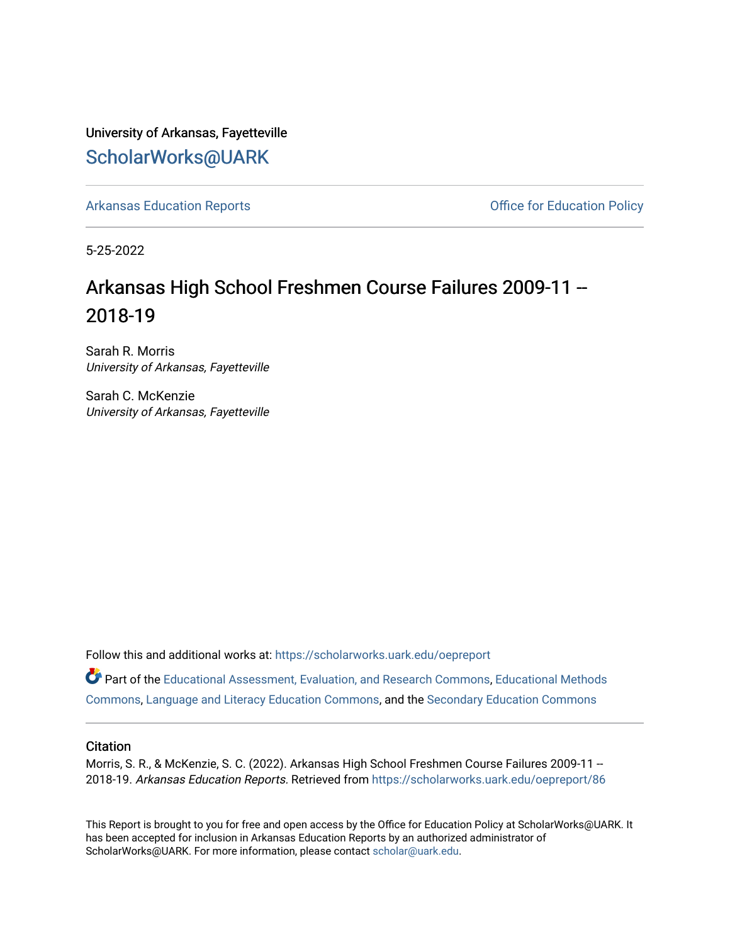University of Arkansas, Fayetteville [ScholarWorks@UARK](https://scholarworks.uark.edu/) 

[Arkansas Education Reports](https://scholarworks.uark.edu/oepreport) **Container and Container Arkansas Education Policy Office for Education Policy** 

5-25-2022

# Arkansas High School Freshmen Course Failures 2009-11 -- 2018-19

Sarah R. Morris University of Arkansas, Fayetteville

Sarah C. McKenzie University of Arkansas, Fayetteville

Follow this and additional works at: [https://scholarworks.uark.edu/oepreport](https://scholarworks.uark.edu/oepreport?utm_source=scholarworks.uark.edu%2Foepreport%2F86&utm_medium=PDF&utm_campaign=PDFCoverPages) 

Part of the [Educational Assessment, Evaluation, and Research Commons](https://network.bepress.com/hgg/discipline/796?utm_source=scholarworks.uark.edu%2Foepreport%2F86&utm_medium=PDF&utm_campaign=PDFCoverPages), [Educational Methods](https://network.bepress.com/hgg/discipline/1227?utm_source=scholarworks.uark.edu%2Foepreport%2F86&utm_medium=PDF&utm_campaign=PDFCoverPages)  [Commons](https://network.bepress.com/hgg/discipline/1227?utm_source=scholarworks.uark.edu%2Foepreport%2F86&utm_medium=PDF&utm_campaign=PDFCoverPages), [Language and Literacy Education Commons](https://network.bepress.com/hgg/discipline/1380?utm_source=scholarworks.uark.edu%2Foepreport%2F86&utm_medium=PDF&utm_campaign=PDFCoverPages), and the [Secondary Education Commons](https://network.bepress.com/hgg/discipline/1382?utm_source=scholarworks.uark.edu%2Foepreport%2F86&utm_medium=PDF&utm_campaign=PDFCoverPages) 

#### **Citation**

Morris, S. R., & McKenzie, S. C. (2022). Arkansas High School Freshmen Course Failures 2009-11 -- 2018-19. Arkansas Education Reports. Retrieved from [https://scholarworks.uark.edu/oepreport/86](https://scholarworks.uark.edu/oepreport/86?utm_source=scholarworks.uark.edu%2Foepreport%2F86&utm_medium=PDF&utm_campaign=PDFCoverPages)

This Report is brought to you for free and open access by the Office for Education Policy at ScholarWorks@UARK. It has been accepted for inclusion in Arkansas Education Reports by an authorized administrator of ScholarWorks@UARK. For more information, please contact [scholar@uark.edu](mailto:scholar@uark.edu).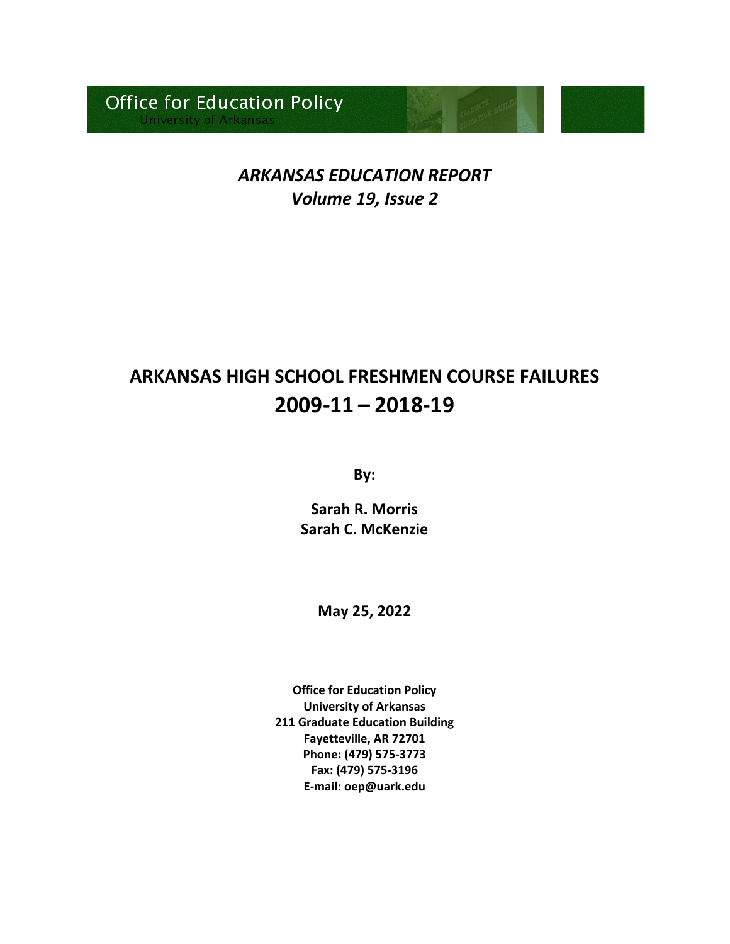# *ARKANSAS EDUCATION REPORT Volume 19, Issue 2*

# **ARKANSAS HIGH SCHOOL FRESHMEN COURSE FAILURES 2009-11 – 2018-19**

**By:**

**Sarah R. Morris Sarah C. McKenzie**

**May 25, 2022**

**Office for Education Policy University of Arkansas 211 Graduate Education Building Fayetteville, AR 72701 Phone: (479) 575-3773 Fax: (479) 575-3196 E-mail: oep@uark.edu**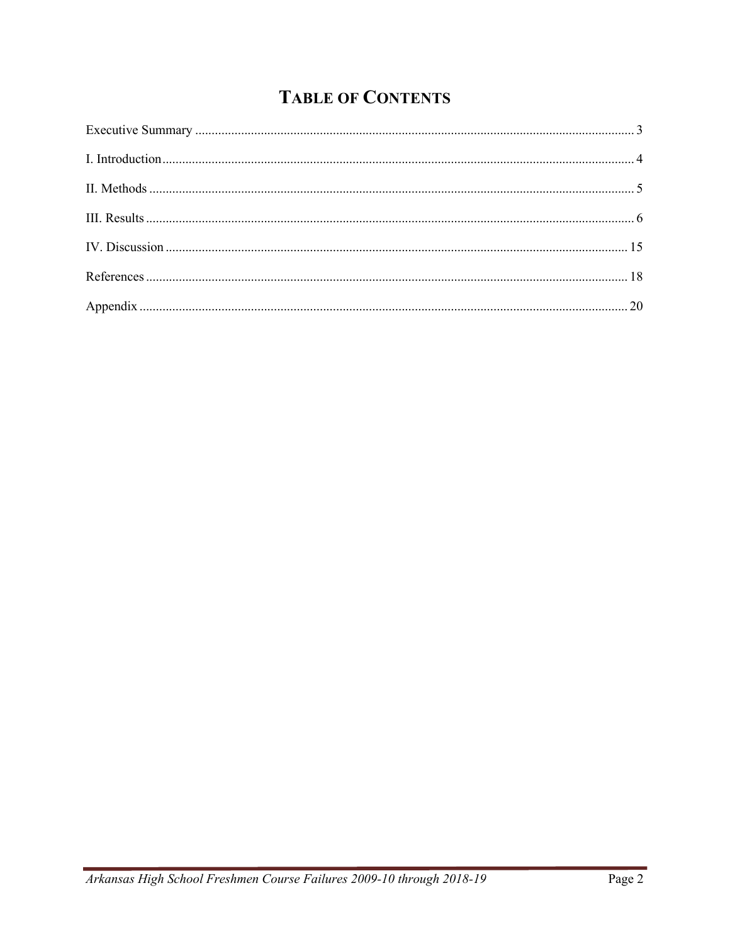# **TABLE OF CONTENTS**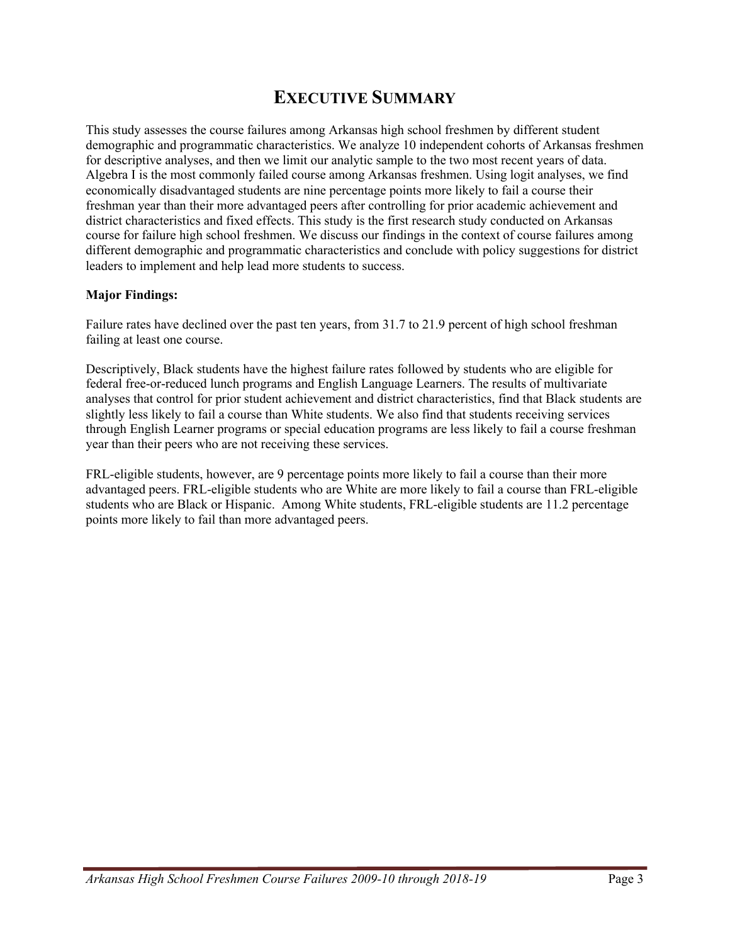## **EXECUTIVE SUMMARY**

This study assesses the course failures among Arkansas high school freshmen by different student demographic and programmatic characteristics. We analyze 10 independent cohorts of Arkansas freshmen for descriptive analyses, and then we limit our analytic sample to the two most recent years of data. Algebra I is the most commonly failed course among Arkansas freshmen. Using logit analyses, we find economically disadvantaged students are nine percentage points more likely to fail a course their freshman year than their more advantaged peers after controlling for prior academic achievement and district characteristics and fixed effects. This study is the first research study conducted on Arkansas course for failure high school freshmen. We discuss our findings in the context of course failures among different demographic and programmatic characteristics and conclude with policy suggestions for district leaders to implement and help lead more students to success.

#### **Major Findings:**

Failure rates have declined over the past ten years, from 31.7 to 21.9 percent of high school freshman failing at least one course.

Descriptively, Black students have the highest failure rates followed by students who are eligible for federal free-or-reduced lunch programs and English Language Learners. The results of multivariate analyses that control for prior student achievement and district characteristics, find that Black students are slightly less likely to fail a course than White students. We also find that students receiving services through English Learner programs or special education programs are less likely to fail a course freshman year than their peers who are not receiving these services.

FRL-eligible students, however, are 9 percentage points more likely to fail a course than their more advantaged peers. FRL-eligible students who are White are more likely to fail a course than FRL-eligible students who are Black or Hispanic. Among White students, FRL-eligible students are 11.2 percentage points more likely to fail than more advantaged peers.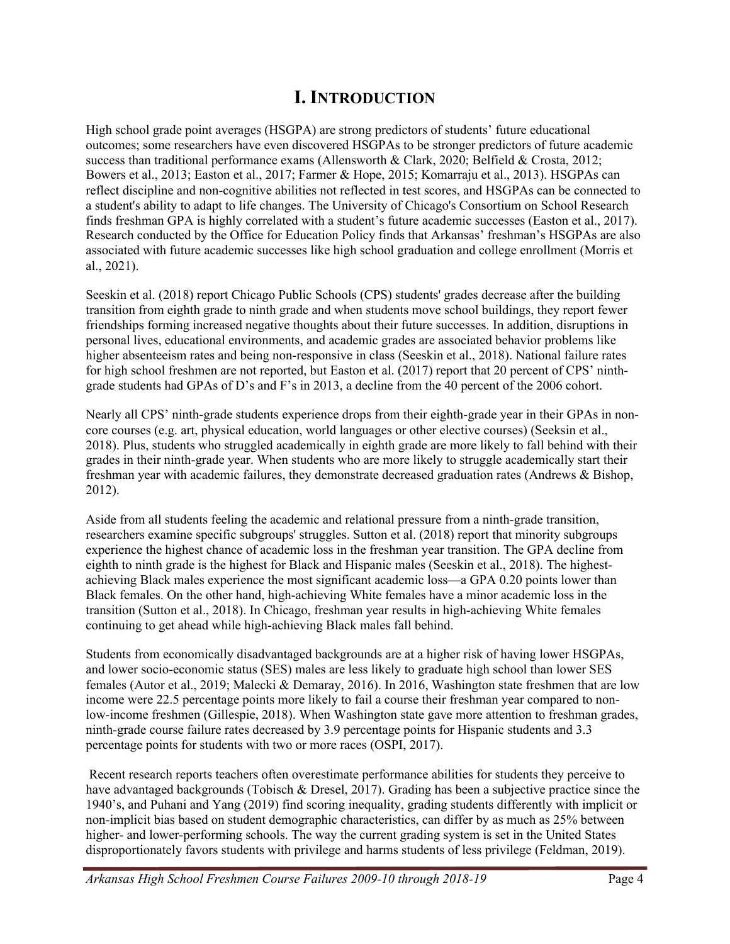## **I. INTRODUCTION**

High school grade point averages (HSGPA) are strong predictors of students' future educational outcomes; some researchers have even discovered HSGPAs to be stronger predictors of future academic success than traditional performance exams (Allensworth & Clark, 2020; Belfield & Crosta, 2012; Bowers et al., 2013; Easton et al., 2017; Farmer & Hope, 2015; Komarraju et al., 2013). HSGPAs can reflect discipline and non-cognitive abilities not reflected in test scores, and HSGPAs can be connected to a student's ability to adapt to life changes. The University of Chicago's Consortium on School Research finds freshman GPA is highly correlated with a student's future academic successes (Easton et al., 2017). Research conducted by the Office for Education Policy finds that Arkansas' freshman's HSGPAs are also associated with future academic successes like high school graduation and college enrollment (Morris et al., 2021).

Seeskin et al. (2018) report Chicago Public Schools (CPS) students' grades decrease after the building transition from eighth grade to ninth grade and when students move school buildings, they report fewer friendships forming increased negative thoughts about their future successes. In addition, disruptions in personal lives, educational environments, and academic grades are associated behavior problems like higher absenteeism rates and being non-responsive in class (Seeskin et al., 2018). National failure rates for high school freshmen are not reported, but Easton et al. (2017) report that 20 percent of CPS' ninthgrade students had GPAs of D's and F's in 2013, a decline from the 40 percent of the 2006 cohort.

Nearly all CPS' ninth-grade students experience drops from their eighth-grade year in their GPAs in noncore courses (e.g. art, physical education, world languages or other elective courses) (Seeksin et al., 2018). Plus, students who struggled academically in eighth grade are more likely to fall behind with their grades in their ninth-grade year. When students who are more likely to struggle academically start their freshman year with academic failures, they demonstrate decreased graduation rates (Andrews & Bishop, 2012).

Aside from all students feeling the academic and relational pressure from a ninth-grade transition, researchers examine specific subgroups' struggles. Sutton et al. (2018) report that minority subgroups experience the highest chance of academic loss in the freshman year transition. The GPA decline from eighth to ninth grade is the highest for Black and Hispanic males (Seeskin et al., 2018). The highestachieving Black males experience the most significant academic loss—a GPA 0.20 points lower than Black females. On the other hand, high-achieving White females have a minor academic loss in the transition (Sutton et al., 2018). In Chicago, freshman year results in high-achieving White females continuing to get ahead while high-achieving Black males fall behind.

Students from economically disadvantaged backgrounds are at a higher risk of having lower HSGPAs, and lower socio-economic status (SES) males are less likely to graduate high school than lower SES females (Autor et al., 2019; Malecki & Demaray, 2016). In 2016, Washington state freshmen that are low income were 22.5 percentage points more likely to fail a course their freshman year compared to nonlow-income freshmen (Gillespie, 2018). When Washington state gave more attention to freshman grades, ninth-grade course failure rates decreased by 3.9 percentage points for Hispanic students and 3.3 percentage points for students with two or more races (OSPI, 2017).

Recent research reports teachers often overestimate performance abilities for students they perceive to have advantaged backgrounds (Tobisch & Dresel, 2017). Grading has been a subjective practice since the 1940's, and Puhani and Yang (2019) find scoring inequality, grading students differently with implicit or non-implicit bias based on student demographic characteristics, can differ by as much as 25% between higher- and lower-performing schools. The way the current grading system is set in the United States disproportionately favors students with privilege and harms students of less privilege (Feldman, 2019).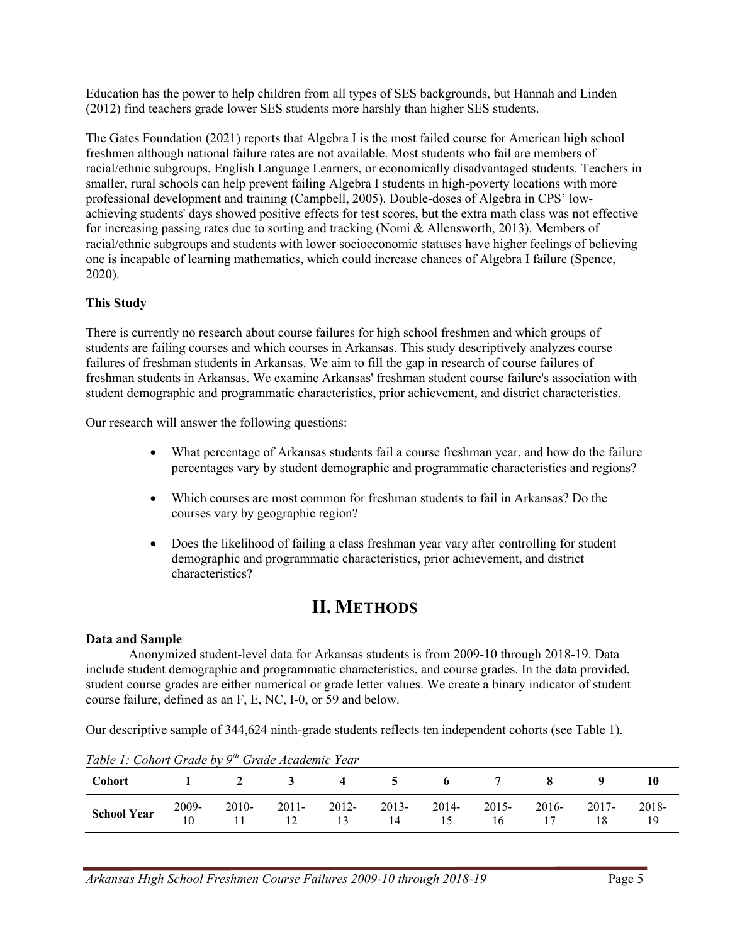Education has the power to help children from all types of SES backgrounds, but Hannah and Linden (2012) find teachers grade lower SES students more harshly than higher SES students.

The Gates Foundation (2021) reports that Algebra I is the most failed course for American high school freshmen although national failure rates are not available. Most students who fail are members of racial/ethnic subgroups, English Language Learners, or economically disadvantaged students. Teachers in smaller, rural schools can help prevent failing Algebra I students in high-poverty locations with more professional development and training (Campbell, 2005). Double-doses of Algebra in CPS' lowachieving students' days showed positive effects for test scores, but the extra math class was not effective for increasing passing rates due to sorting and tracking (Nomi & Allensworth, 2013). Members of racial/ethnic subgroups and students with lower socioeconomic statuses have higher feelings of believing one is incapable of learning mathematics, which could increase chances of Algebra I failure (Spence, 2020).

#### **This Study**

There is currently no research about course failures for high school freshmen and which groups of students are failing courses and which courses in Arkansas. This study descriptively analyzes course failures of freshman students in Arkansas. We aim to fill the gap in research of course failures of freshman students in Arkansas. We examine Arkansas' freshman student course failure's association with student demographic and programmatic characteristics, prior achievement, and district characteristics.

Our research will answer the following questions:

- What percentage of Arkansas students fail a course freshman year, and how do the failure percentages vary by student demographic and programmatic characteristics and regions?
- Which courses are most common for freshman students to fail in Arkansas? Do the courses vary by geographic region?
- Does the likelihood of failing a class freshman year vary after controlling for student demographic and programmatic characteristics, prior achievement, and district characteristics?

## **II. METHODS**

#### **Data and Sample**

Anonymized student-level data for Arkansas students is from 2009-10 through 2018-19. Data include student demographic and programmatic characteristics, and course grades. In the data provided, student course grades are either numerical or grade letter values. We create a binary indicator of student course failure, defined as an F, E, NC, I-0, or 59 and below.

Our descriptive sample of 344,624 ninth-grade students reflects ten independent cohorts (see Table 1).

| Table 1. Conort Grade by 9 Grade Academic Tear<br>Cohort |             |         |             |             |             | 1 2 3 4 5 6 7 8 9 |             |             |             |       |
|----------------------------------------------------------|-------------|---------|-------------|-------------|-------------|-------------------|-------------|-------------|-------------|-------|
| <b>School Year</b>                                       | 2009-<br>10 | $2010-$ | 2011-<br>12 | 2012-<br>13 | 2013-<br>14 | 2014-<br>15       | 2015-<br>16 | 2016-<br>17 | 2017-<br>18 | 2018- |

*Table 1: Cohort Grade by 9th Grade Academic Year*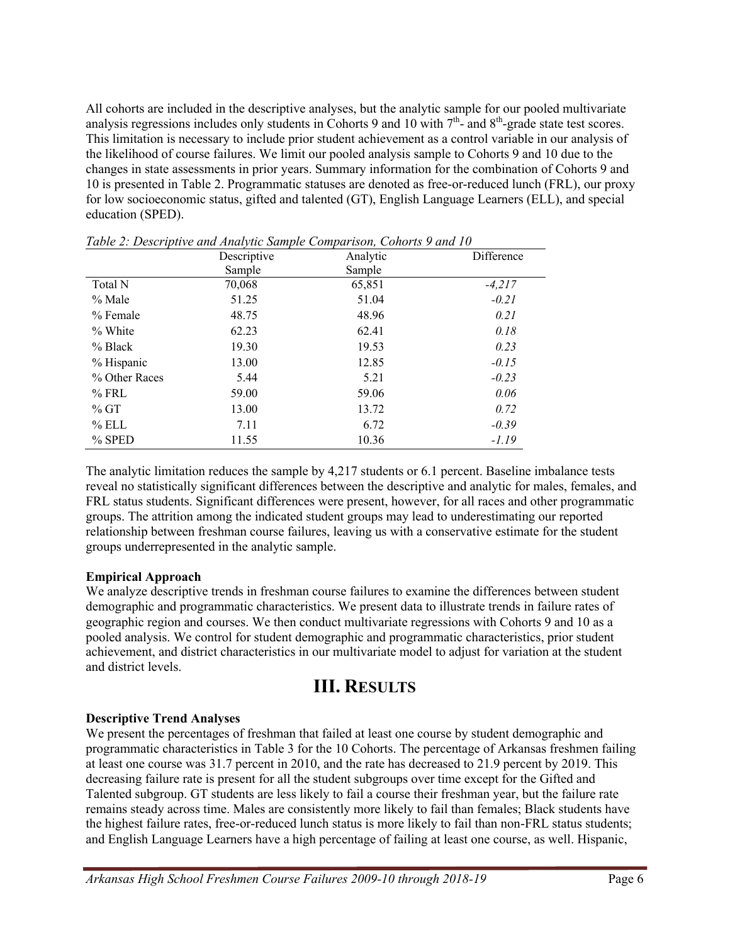All cohorts are included in the descriptive analyses, but the analytic sample for our pooled multivariate analysis regressions includes only students in Cohorts 9 and 10 with  $7<sup>th</sup>$ - and  $8<sup>th</sup>$ -grade state test scores. This limitation is necessary to include prior student achievement as a control variable in our analysis of the likelihood of course failures. We limit our pooled analysis sample to Cohorts 9 and 10 due to the changes in state assessments in prior years. Summary information for the combination of Cohorts 9 and 10 is presented in Table 2. Programmatic statuses are denoted as free-or-reduced lunch (FRL), our proxy for low socioeconomic status, gifted and talented (GT), English Language Learners (ELL), and special education (SPED).

|               | Descriptive | Analytic | Difference |
|---------------|-------------|----------|------------|
|               | Sample      | Sample   |            |
| Total N       | 70,068      | 65,851   | $-4,217$   |
| $%$ Male      | 51.25       | 51.04    | $-0.21$    |
| $%$ Female    | 48.75       | 48.96    | 0.21       |
| % White       | 62.23       | 62.41    | 0.18       |
| $%$ Black     | 19.30       | 19.53    | 0.23       |
| % Hispanic    | 13.00       | 12.85    | $-0.15$    |
| % Other Races | 5.44        | 5.21     | $-0.23$    |
| $%$ FRL       | 59.00       | 59.06    | 0.06       |
| %GT           | 13.00       | 13.72    | 0.72       |
| $%$ ELL       | 7.11        | 6.72     | $-0.39$    |
| $%$ SPED      | 11.55       | 10.36    | $-1.19$    |

*Table 2: Descriptive and Analytic Sample Comparison, Cohorts 9 and 10*

The analytic limitation reduces the sample by 4,217 students or 6.1 percent. Baseline imbalance tests reveal no statistically significant differences between the descriptive and analytic for males, females, and FRL status students. Significant differences were present, however, for all races and other programmatic groups. The attrition among the indicated student groups may lead to underestimating our reported relationship between freshman course failures, leaving us with a conservative estimate for the student groups underrepresented in the analytic sample.

#### **Empirical Approach**

We analyze descriptive trends in freshman course failures to examine the differences between student demographic and programmatic characteristics. We present data to illustrate trends in failure rates of geographic region and courses. We then conduct multivariate regressions with Cohorts 9 and 10 as a pooled analysis. We control for student demographic and programmatic characteristics, prior student achievement, and district characteristics in our multivariate model to adjust for variation at the student and district levels.

### **III. RESULTS**

#### **Descriptive Trend Analyses**

We present the percentages of freshman that failed at least one course by student demographic and programmatic characteristics in Table 3 for the 10 Cohorts. The percentage of Arkansas freshmen failing at least one course was 31.7 percent in 2010, and the rate has decreased to 21.9 percent by 2019. This decreasing failure rate is present for all the student subgroups over time except for the Gifted and Talented subgroup. GT students are less likely to fail a course their freshman year, but the failure rate remains steady across time. Males are consistently more likely to fail than females; Black students have the highest failure rates, free-or-reduced lunch status is more likely to fail than non-FRL status students; and English Language Learners have a high percentage of failing at least one course, as well. Hispanic,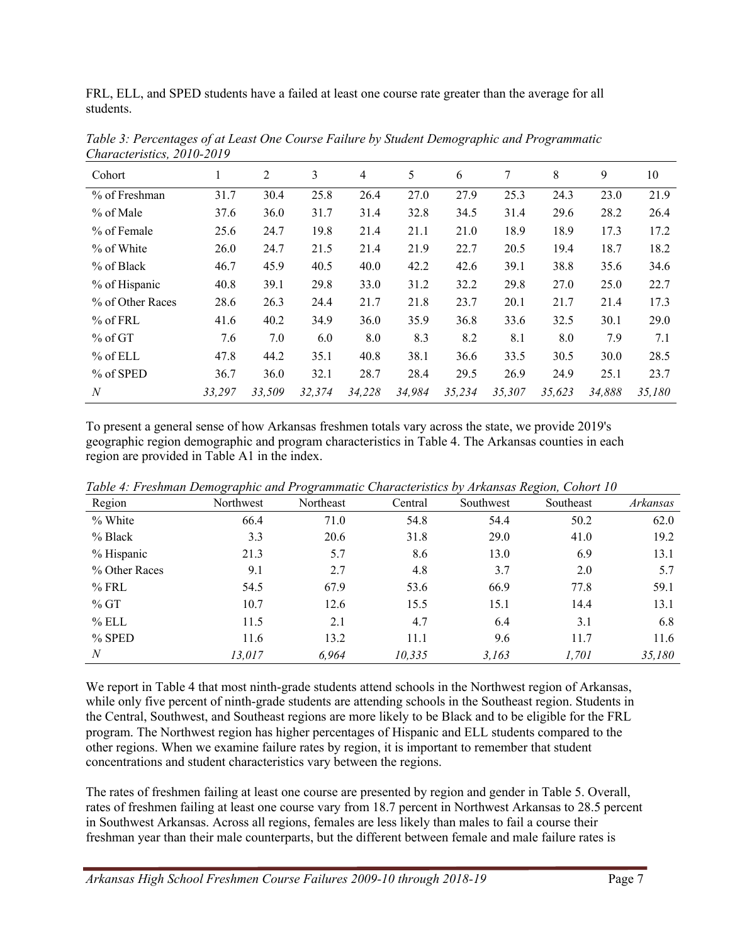FRL, ELL, and SPED students have a failed at least one course rate greater than the average for all students.

| Cohort           |        | 2      | 3      | 4      | 5      | 6      | 7      | 8      | 9      | 10     |
|------------------|--------|--------|--------|--------|--------|--------|--------|--------|--------|--------|
| % of Freshman    | 31.7   | 30.4   | 25.8   | 26.4   | 27.0   | 27.9   | 25.3   | 24.3   | 23.0   | 21.9   |
| % of Male        | 37.6   | 36.0   | 31.7   | 31.4   | 32.8   | 34.5   | 31.4   | 29.6   | 28.2   | 26.4   |
| % of Female      | 25.6   | 24.7   | 19.8   | 21.4   | 21.1   | 21.0   | 18.9   | 18.9   | 17.3   | 17.2   |
| % of White       | 26.0   | 24.7   | 21.5   | 21.4   | 21.9   | 22.7   | 20.5   | 19.4   | 18.7   | 18.2   |
| $%$ of Black     | 46.7   | 45.9   | 40.5   | 40.0   | 42.2   | 42.6   | 39.1   | 38.8   | 35.6   | 34.6   |
| % of Hispanic    | 40.8   | 39.1   | 29.8   | 33.0   | 31.2   | 32.2   | 29.8   | 27.0   | 25.0   | 22.7   |
| % of Other Races | 28.6   | 26.3   | 24.4   | 21.7   | 21.8   | 23.7   | 20.1   | 21.7   | 21.4   | 17.3   |
| $%$ of FRL       | 41.6   | 40.2   | 34.9   | 36.0   | 35.9   | 36.8   | 33.6   | 32.5   | 30.1   | 29.0   |
| $%$ of GT        | 7.6    | 7.0    | 6.0    | 8.0    | 8.3    | 8.2    | 8.1    | 8.0    | 7.9    | 7.1    |
| $%$ of ELL       | 47.8   | 44.2   | 35.1   | 40.8   | 38.1   | 36.6   | 33.5   | 30.5   | 30.0   | 28.5   |
| % of SPED        | 36.7   | 36.0   | 32.1   | 28.7   | 28.4   | 29.5   | 26.9   | 24.9   | 25.1   | 23.7   |
| N                | 33.297 | 33,509 | 32,374 | 34,228 | 34,984 | 35,234 | 35,307 | 35,623 | 34.888 | 35,180 |

*Table 3: Percentages of at Least One Course Failure by Student Demographic and Programmatic Characteristics, 2010-2019*

To present a general sense of how Arkansas freshmen totals vary across the state, we provide 2019's geographic region demographic and program characteristics in Table 4. The Arkansas counties in each region are provided in Table A1 in the index.

| Region           | Northwest | Northeast | Central | Southwest | Southeast | Arkansas |
|------------------|-----------|-----------|---------|-----------|-----------|----------|
| % White          | 66.4      | 71.0      | 54.8    | 54.4      | 50.2      | 62.0     |
| % Black          | 3.3       | 20.6      | 31.8    | 29.0      | 41.0      | 19.2     |
| % Hispanic       | 21.3      | 5.7       | 8.6     | 13.0      | 6.9       | 13.1     |
| % Other Races    | 9.1       | 2.7       | 4.8     | 3.7       | 2.0       | 5.7      |
| $%$ FRL          | 54.5      | 67.9      | 53.6    | 66.9      | 77.8      | 59.1     |
| %GT              | 10.7      | 12.6      | 15.5    | 15.1      | 14.4      | 13.1     |
| $%$ ELL          | 11.5      | 2.1       | 4.7     | 6.4       | 3.1       | 6.8      |
| $%$ SPED         | 11.6      | 13.2      | 11.1    | 9.6       | 11.7      | 11.6     |
| $\boldsymbol{N}$ | 13,017    | 6,964     | 10,335  | 3,163     | 1,701     | 35,180   |

*Table 4: Freshman Demographic and Programmatic Characteristics by Arkansas Region, Cohort 10*

We report in Table 4 that most ninth-grade students attend schools in the Northwest region of Arkansas, while only five percent of ninth-grade students are attending schools in the Southeast region. Students in the Central, Southwest, and Southeast regions are more likely to be Black and to be eligible for the FRL program. The Northwest region has higher percentages of Hispanic and ELL students compared to the other regions. When we examine failure rates by region, it is important to remember that student concentrations and student characteristics vary between the regions.

The rates of freshmen failing at least one course are presented by region and gender in Table 5. Overall, rates of freshmen failing at least one course vary from 18.7 percent in Northwest Arkansas to 28.5 percent in Southwest Arkansas. Across all regions, females are less likely than males to fail a course their freshman year than their male counterparts, but the different between female and male failure rates is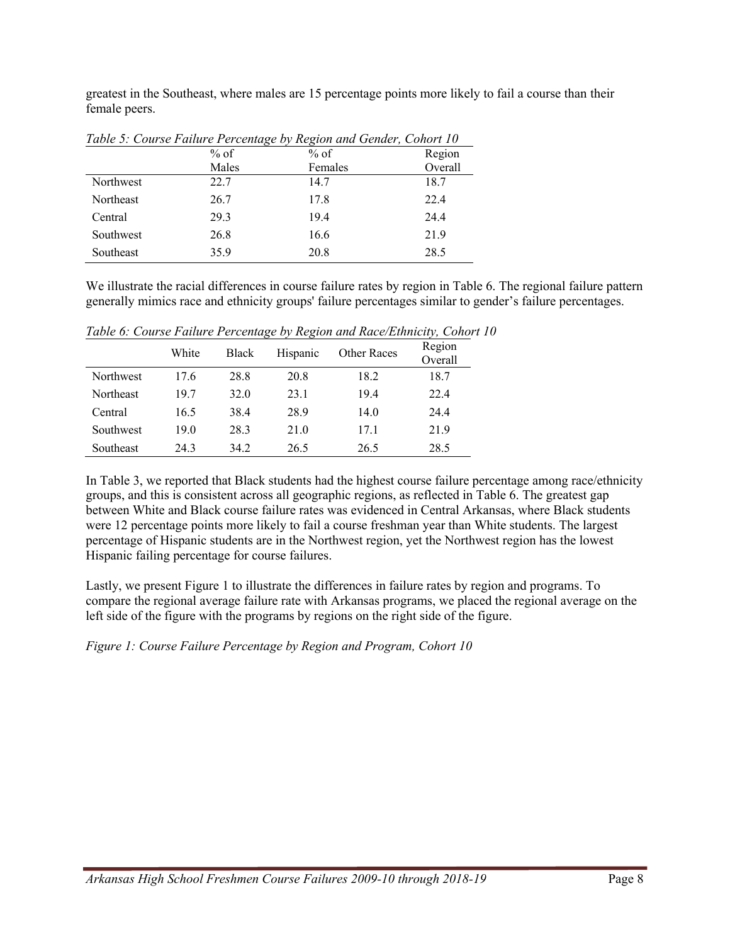greatest in the Southeast, where males are 15 percentage points more likely to fail a course than their female peers.

|           | % of  | $%$ of  | Region  |
|-----------|-------|---------|---------|
|           | Males | Females | Overall |
| Northwest | 22.7  | 14.7    | 18.7    |
| Northeast | 26.7  | 17.8    | 22.4    |
| Central   | 29.3  | 19.4    | 24.4    |
| Southwest | 26.8  | 16.6    | 21.9    |
| Southeast | 35.9  | 20.8    | 28.5    |

*Table 5: Course Failure Percentage by Region and Gender, Cohort 10*

We illustrate the racial differences in course failure rates by region in Table 6. The regional failure pattern generally mimics race and ethnicity groups' failure percentages similar to gender's failure percentages.

|                  | White | Black | Hispanic | <b>Other Races</b> | Region<br>Overall |
|------------------|-------|-------|----------|--------------------|-------------------|
| Northwest        | 17.6  | 28.8  | 20.8     | 18.2               | 18.7              |
| <b>Northeast</b> | 19.7  | 32.0  | 23.1     | 19.4               | 22.4              |
| Central          | 16.5  | 38.4  | 28.9     | 14.0               | 24.4              |
| Southwest        | 19.0  | 28.3  | 21.0     | 17.1               | 21.9              |
| Southeast        | 24.3  | 34.2  | 26.5     | 26.5               | 28.5              |

*Table 6: Course Failure Percentage by Region and Race/Ethnicity, Cohort 10*

In Table 3, we reported that Black students had the highest course failure percentage among race/ethnicity groups, and this is consistent across all geographic regions, as reflected in Table 6. The greatest gap between White and Black course failure rates was evidenced in Central Arkansas, where Black students were 12 percentage points more likely to fail a course freshman year than White students. The largest percentage of Hispanic students are in the Northwest region, yet the Northwest region has the lowest Hispanic failing percentage for course failures.

Lastly, we present Figure 1 to illustrate the differences in failure rates by region and programs. To compare the regional average failure rate with Arkansas programs, we placed the regional average on the left side of the figure with the programs by regions on the right side of the figure.

*Figure 1: Course Failure Percentage by Region and Program, Cohort 10*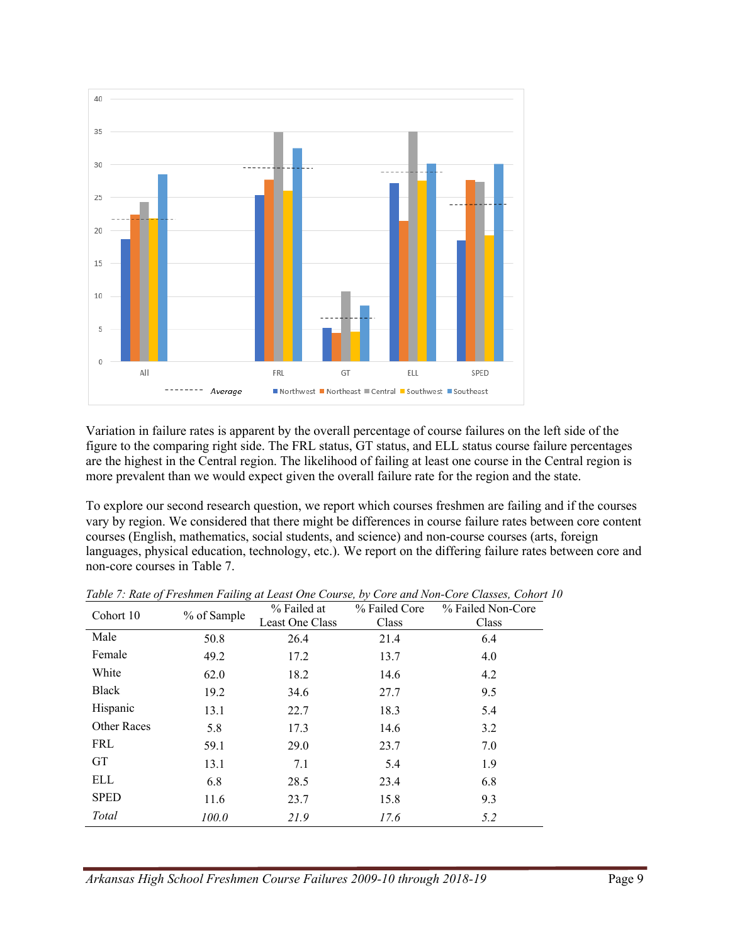

Variation in failure rates is apparent by the overall percentage of course failures on the left side of the figure to the comparing right side. The FRL status, GT status, and ELL status course failure percentages are the highest in the Central region. The likelihood of failing at least one course in the Central region is more prevalent than we would expect given the overall failure rate for the region and the state.

To explore our second research question, we report which courses freshmen are failing and if the courses vary by region. We considered that there might be differences in course failure rates between core content courses (English, mathematics, social students, and science) and non-course courses (arts, foreign languages, physical education, technology, etc.). We report on the differing failure rates between core and non-core courses in Table 7.

| Cohort 10    | % of Sample | % Failed at<br>Least One Class | % Failed Core<br>Class | % Failed Non-Core<br>Class |
|--------------|-------------|--------------------------------|------------------------|----------------------------|
| Male         | 50.8        | 26.4                           | 21.4                   | 6.4                        |
| Female       | 49.2        | 17.2                           | 13.7                   | 4.0                        |
| White        | 62.0        | 18.2                           | 14.6                   | 4.2                        |
| <b>Black</b> | 19.2        | 34.6                           | 27.7                   | 9.5                        |
| Hispanic     | 13.1        | 22.7                           | 18.3                   | 5.4                        |
| Other Races  | 5.8         | 17.3                           | 14.6                   | 3.2                        |
| <b>FRL</b>   | 59.1        | 29.0                           | 23.7                   | 7.0                        |
| <b>GT</b>    | 13.1        | 7.1                            | 5.4                    | 1.9                        |
| <b>ELL</b>   | 6.8         | 28.5                           | 23.4                   | 6.8                        |
| <b>SPED</b>  | 11.6        | 23.7                           | 15.8                   | 9.3                        |
| Total        | 100.0       | 21.9                           | 17.6                   | 5.2                        |

*Table 7: Rate of Freshmen Failing at Least One Course, by Core and Non-Core Classes, Cohort 10*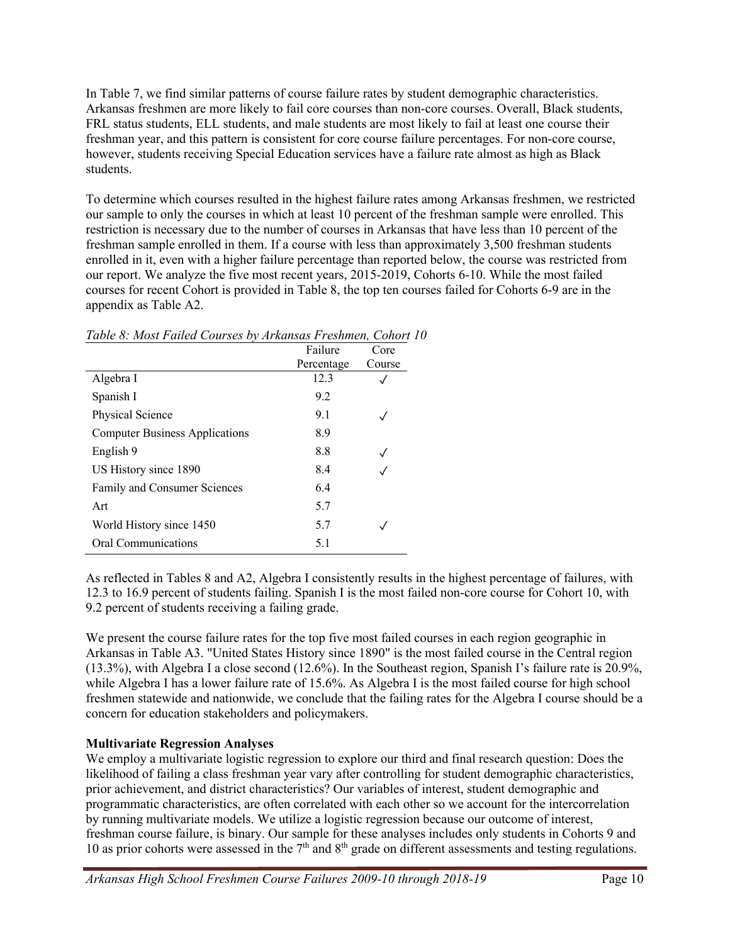In Table 7, we find similar patterns of course failure rates by student demographic characteristics. Arkansas freshmen are more likely to fail core courses than non-core courses. Overall, Black students, FRL status students, ELL students, and male students are most likely to fail at least one course their freshman year, and this pattern is consistent for core course failure percentages. For non-core course, however, students receiving Special Education services have a failure rate almost as high as Black students.

To determine which courses resulted in the highest failure rates among Arkansas freshmen, we restricted our sample to only the courses in which at least 10 percent of the freshman sample were enrolled. This restriction is necessary due to the number of courses in Arkansas that have less than 10 percent of the freshman sample enrolled in them. If a course with less than approximately 3,500 freshman students enrolled in it, even with a higher failure percentage than reported below, the course was restricted from our report. We analyze the five most recent years, 2015-2019, Cohorts 6-10. While the most failed courses for recent Cohort is provided in Table 8, the top ten courses failed for Cohorts 6-9 are in the appendix as Table A2.

|                                       | Failure    | Core   |
|---------------------------------------|------------|--------|
|                                       | Percentage | Course |
| Algebra I                             | 12.3       |        |
| Spanish I                             | 9.2        |        |
| Physical Science                      | 9.1        |        |
| <b>Computer Business Applications</b> | 8.9        |        |
| English 9                             | 8.8        |        |
| US History since 1890                 | 8.4        |        |
| Family and Consumer Sciences          | 6.4        |        |
| Art                                   | 5.7        |        |
| World History since 1450              | 5.7        |        |
| Oral Communications                   | 5.1        |        |

*Table 8: Most Failed Courses by Arkansas Freshmen, Cohort 10*

As reflected in Tables 8 and A2, Algebra I consistently results in the highest percentage of failures, with 12.3 to 16.9 percent of students failing. Spanish I is the most failed non-core course for Cohort 10, with 9.2 percent of students receiving a failing grade.

We present the course failure rates for the top five most failed courses in each region geographic in Arkansas in Table A3. "United States History since 1890" is the most failed course in the Central region (13.3%), with Algebra I a close second (12.6%). In the Southeast region, Spanish I's failure rate is 20.9%, while Algebra I has a lower failure rate of 15.6%. As Algebra I is the most failed course for high school freshmen statewide and nationwide, we conclude that the failing rates for the Algebra I course should be a concern for education stakeholders and policymakers.

#### **Multivariate Regression Analyses**

We employ a multivariate logistic regression to explore our third and final research question: Does the likelihood of failing a class freshman year vary after controlling for student demographic characteristics, prior achievement, and district characteristics? Our variables of interest, student demographic and programmatic characteristics, are often correlated with each other so we account for the intercorrelation by running multivariate models. We utilize a logistic regression because our outcome of interest, freshman course failure, is binary. Our sample for these analyses includes only students in Cohorts 9 and 10 as prior cohorts were assessed in the  $7<sup>th</sup>$  and  $8<sup>th</sup>$  grade on different assessments and testing regulations.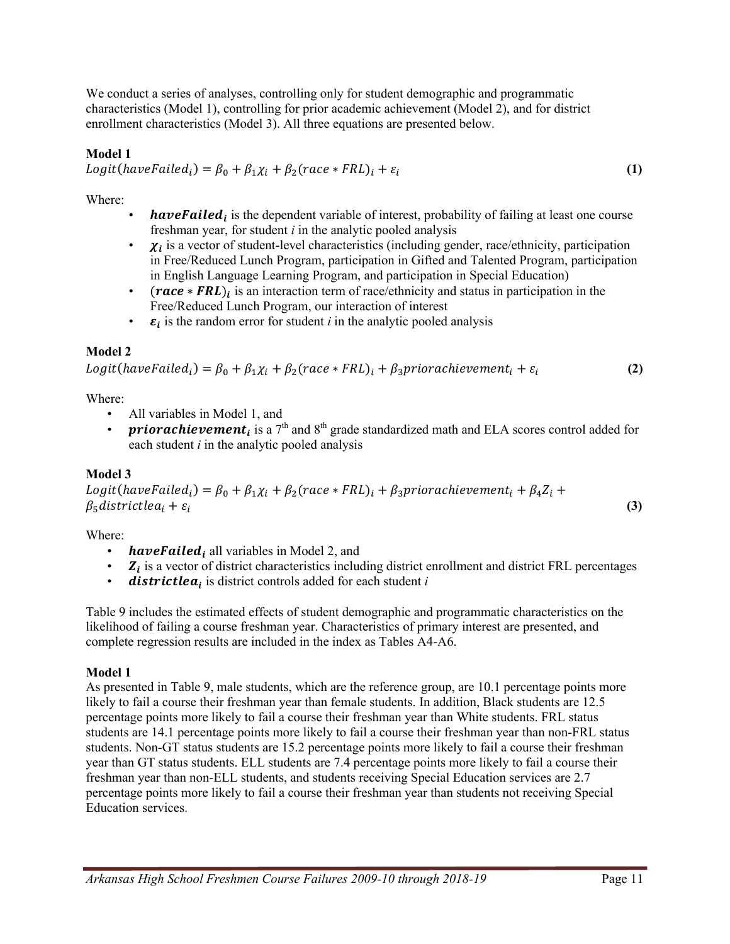We conduct a series of analyses, controlling only for student demographic and programmatic characteristics (Model 1), controlling for prior academic achievement (Model 2), and for district enrollment characteristics (Model 3). All three equations are presented below.

#### **Model 1**

 $Logit(haveFailed_i) = \beta_0 + \beta_1 \chi_i + \beta_2 (race * FRL)_i + \varepsilon_i$  (1)

Where:

- **have Failed** is the dependent variable of interest, probability of failing at least one course freshman year, for student *i* in the analytic pooled analysis
- $\chi_i$  is a vector of student-level characteristics (including gender, race/ethnicity, participation in Free/Reduced Lunch Program, participation in Gifted and Talented Program, participation in English Language Learning Program, and participation in Special Education)
- ( $race * FRL$ ), is an interaction term of race/ethnicity and status in participation in the Free/Reduced Lunch Program, our interaction of interest
- $\cdot$   $\varepsilon_i$  is the random error for student *i* in the analytic pooled analysis

### **Model 2**

 $Logit(haveFailed_i) = \beta_0 + \beta_1 \chi_i + \beta_2 (race * FRL)_i + \beta_3 priorachievement_i + \varepsilon_i$  (2)

Where:

- All variables in Model 1, and
- **priorachievement**<sub>i</sub> is a 7<sup>th</sup> and 8<sup>th</sup> grade standardized math and ELA scores control added for each student *i* in the analytic pooled analysis

### **Model 3**

Logit(haveFailed<sub>i</sub>) =  $\beta_0 + \beta_1 \chi_i + \beta_2$ (race \* FRL)<sub>i</sub> +  $\beta_3$ priorachievement<sub>i</sub> +  $\beta_4 Z_i$  +  $\beta_5$ districtlea<sub>i</sub> +  $\varepsilon_i$  (3)

Where:

- **have Failed** all variables in Model 2, and
- $Z_i$  is a vector of district characteristics including district enrollment and district FRL percentages<br>• **districtlea** is district controls added for each student i
- districtlea<sub>i</sub> is district controls added for each student *i*

Table 9 includes the estimated effects of student demographic and programmatic characteristics on the likelihood of failing a course freshman year. Characteristics of primary interest are presented, and complete regression results are included in the index as Tables A4-A6.

#### **Model 1**

As presented in Table 9, male students, which are the reference group, are 10.1 percentage points more likely to fail a course their freshman year than female students. In addition, Black students are 12.5 percentage points more likely to fail a course their freshman year than White students. FRL status students are 14.1 percentage points more likely to fail a course their freshman year than non-FRL status students. Non-GT status students are 15.2 percentage points more likely to fail a course their freshman year than GT status students. ELL students are 7.4 percentage points more likely to fail a course their freshman year than non-ELL students, and students receiving Special Education services are 2.7 percentage points more likely to fail a course their freshman year than students not receiving Special Education services.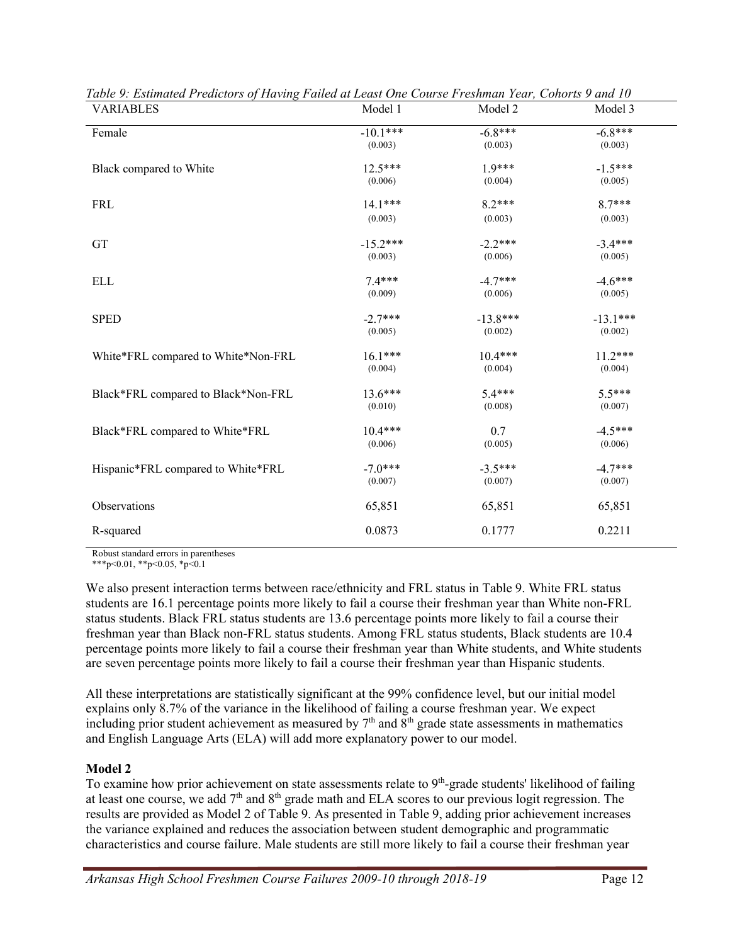| <b>VARIABLES</b>                    | Model 1    | Model 2    | Model 3    |
|-------------------------------------|------------|------------|------------|
| Female                              | $-10.1***$ | $-6.8***$  | $-6.8***$  |
|                                     | (0.003)    | (0.003)    | (0.003)    |
| Black compared to White             | $12.5***$  | $1.9***$   | $-1.5***$  |
|                                     | (0.006)    | (0.004)    | (0.005)    |
| <b>FRL</b>                          | 14.1***    | $8.2***$   | $8.7***$   |
|                                     | (0.003)    | (0.003)    | (0.003)    |
| GT                                  | $-15.2***$ | $-2.2***$  | $-3.4***$  |
|                                     | (0.003)    | (0.006)    | (0.005)    |
| <b>ELL</b>                          | $7.4***$   | $-4.7***$  | $-4.6***$  |
|                                     | (0.009)    | (0.006)    | (0.005)    |
| <b>SPED</b>                         | $-2.7***$  | $-13.8***$ | $-13.1***$ |
|                                     | (0.005)    | (0.002)    | (0.002)    |
| White*FRL compared to White*Non-FRL | $16.1***$  | $10.4***$  | $11.2***$  |
|                                     | (0.004)    | (0.004)    | (0.004)    |
| Black*FRL compared to Black*Non-FRL | $13.6***$  | $5.4***$   | $5.5***$   |
|                                     | (0.010)    | (0.008)    | (0.007)    |
| Black*FRL compared to White*FRL     | $10.4***$  | 0.7        | $-4.5***$  |
|                                     | (0.006)    | (0.005)    | (0.006)    |
| Hispanic*FRL compared to White*FRL  | $-7.0***$  | $-3.5***$  | $-4.7***$  |
|                                     | (0.007)    | (0.007)    | (0.007)    |
| Observations                        | 65,851     | 65,851     | 65,851     |
| R-squared                           | 0.0873     | 0.1777     | 0.2211     |

*Table 9: Estimated Predictors of Having Failed at Least One Course Freshman Year, Cohorts 9 and 10*

Robust standard errors in parentheses

\*\*\*p<0.01, \*\*p<0.05, \*p<0.1

We also present interaction terms between race/ethnicity and FRL status in Table 9. White FRL status students are 16.1 percentage points more likely to fail a course their freshman year than White non-FRL status students. Black FRL status students are 13.6 percentage points more likely to fail a course their freshman year than Black non-FRL status students. Among FRL status students, Black students are 10.4 percentage points more likely to fail a course their freshman year than White students, and White students are seven percentage points more likely to fail a course their freshman year than Hispanic students.

All these interpretations are statistically significant at the 99% confidence level, but our initial model explains only 8.7% of the variance in the likelihood of failing a course freshman year. We expect including prior student achievement as measured by  $7<sup>th</sup>$  and  $8<sup>th</sup>$  grade state assessments in mathematics and English Language Arts (ELA) will add more explanatory power to our model.

#### **Model 2**

To examine how prior achievement on state assessments relate to  $9<sup>th</sup>$ -grade students' likelihood of failing at least one course, we add  $7<sup>th</sup>$  and  $8<sup>th</sup>$  grade math and ELA scores to our previous logit regression. The results are provided as Model 2 of Table 9. As presented in Table 9, adding prior achievement increases the variance explained and reduces the association between student demographic and programmatic characteristics and course failure. Male students are still more likely to fail a course their freshman year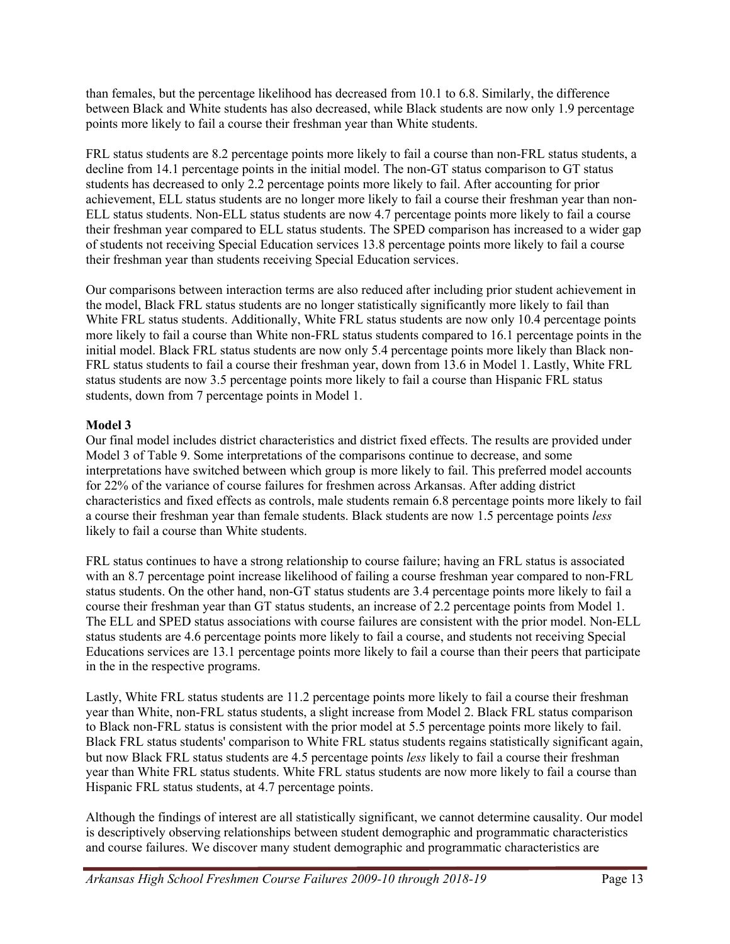than females, but the percentage likelihood has decreased from 10.1 to 6.8. Similarly, the difference between Black and White students has also decreased, while Black students are now only 1.9 percentage points more likely to fail a course their freshman year than White students.

FRL status students are 8.2 percentage points more likely to fail a course than non-FRL status students, a decline from 14.1 percentage points in the initial model. The non-GT status comparison to GT status students has decreased to only 2.2 percentage points more likely to fail. After accounting for prior achievement, ELL status students are no longer more likely to fail a course their freshman year than non-ELL status students. Non-ELL status students are now 4.7 percentage points more likely to fail a course their freshman year compared to ELL status students. The SPED comparison has increased to a wider gap of students not receiving Special Education services 13.8 percentage points more likely to fail a course their freshman year than students receiving Special Education services.

Our comparisons between interaction terms are also reduced after including prior student achievement in the model, Black FRL status students are no longer statistically significantly more likely to fail than White FRL status students. Additionally, White FRL status students are now only 10.4 percentage points more likely to fail a course than White non-FRL status students compared to 16.1 percentage points in the initial model. Black FRL status students are now only 5.4 percentage points more likely than Black non-FRL status students to fail a course their freshman year, down from 13.6 in Model 1. Lastly, White FRL status students are now 3.5 percentage points more likely to fail a course than Hispanic FRL status students, down from 7 percentage points in Model 1.

#### **Model 3**

Our final model includes district characteristics and district fixed effects. The results are provided under Model 3 of Table 9. Some interpretations of the comparisons continue to decrease, and some interpretations have switched between which group is more likely to fail. This preferred model accounts for 22% of the variance of course failures for freshmen across Arkansas. After adding district characteristics and fixed effects as controls, male students remain 6.8 percentage points more likely to fail a course their freshman year than female students. Black students are now 1.5 percentage points *less* likely to fail a course than White students.

FRL status continues to have a strong relationship to course failure; having an FRL status is associated with an 8.7 percentage point increase likelihood of failing a course freshman year compared to non-FRL status students. On the other hand, non-GT status students are 3.4 percentage points more likely to fail a course their freshman year than GT status students, an increase of 2.2 percentage points from Model 1. The ELL and SPED status associations with course failures are consistent with the prior model. Non-ELL status students are 4.6 percentage points more likely to fail a course, and students not receiving Special Educations services are 13.1 percentage points more likely to fail a course than their peers that participate in the in the respective programs.

Lastly, White FRL status students are 11.2 percentage points more likely to fail a course their freshman year than White, non-FRL status students, a slight increase from Model 2. Black FRL status comparison to Black non-FRL status is consistent with the prior model at 5.5 percentage points more likely to fail. Black FRL status students' comparison to White FRL status students regains statistically significant again, but now Black FRL status students are 4.5 percentage points *less* likely to fail a course their freshman year than White FRL status students. White FRL status students are now more likely to fail a course than Hispanic FRL status students, at 4.7 percentage points.

Although the findings of interest are all statistically significant, we cannot determine causality. Our model is descriptively observing relationships between student demographic and programmatic characteristics and course failures. We discover many student demographic and programmatic characteristics are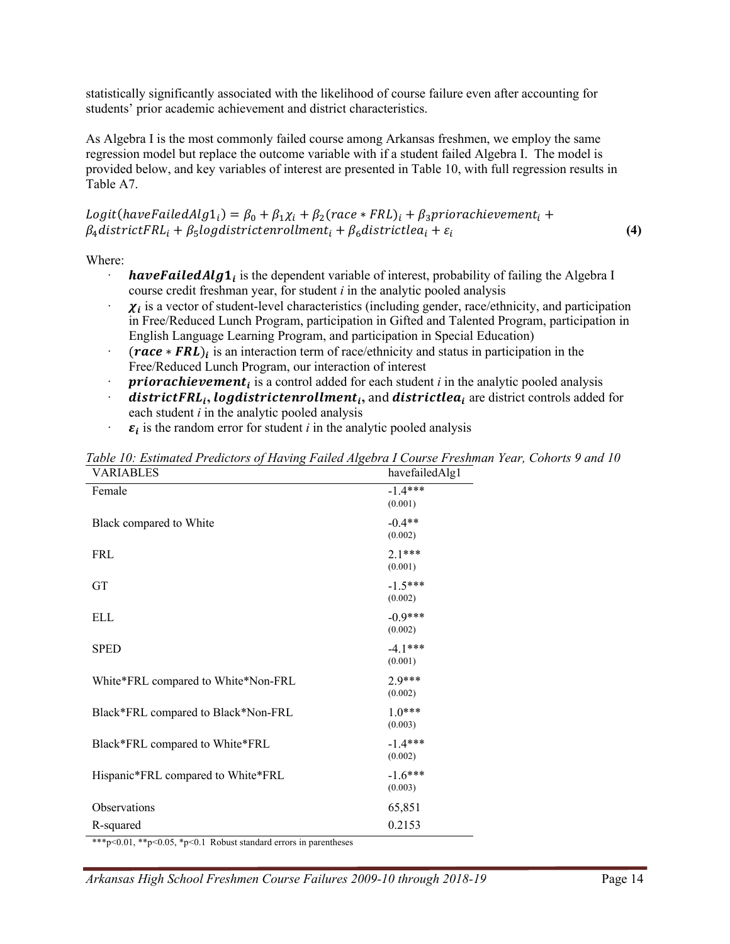statistically significantly associated with the likelihood of course failure even after accounting for students' prior academic achievement and district characteristics.

As Algebra I is the most commonly failed course among Arkansas freshmen, we employ the same regression model but replace the outcome variable with if a student failed Algebra I. The model is provided below, and key variables of interest are presented in Table 10, with full regression results in Table A7.

Logit(haveFailedAlg1<sub>i</sub>) =  $\beta_0 + \beta_1 \chi_i + \beta_2$ (race \* FRL)<sub>i</sub> +  $\beta_3$ priorachievement<sub>i</sub> +  $\beta_4$ districtFRL<sub>i</sub> +  $\beta_5$ logdistrictenrollment<sub>i</sub> +  $\beta_6$ districtlea<sub>i</sub> +  $\varepsilon_i$  (4)

Where:

- **have Failed Alg<sub>1</sub>** is the dependent variable of interest, probability of failing the Algebra I course credit freshman year, for student *i* in the analytic pooled analysis
- $\chi_i$  is a vector of student-level characteristics (including gender, race/ethnicity, and participation in Free/Reduced Lunch Program, participation in Gifted and Talented Program, participation in English Language Learning Program, and participation in Special Education)
- $(**race** * **FRL**)<sub>i</sub>$  is an interaction term of race/ethnicity and status in participation in the Free/Reduced Lunch Program, our interaction of interest
- *priorachievement<sub>i</sub>* is a control added for each student *i* in the analytic pooled analysis
- $\boldsymbol{distribtFRL_i}$ , *logdistrictenrollment<sub>i</sub>*, and  $\boldsymbol{distribt}$  are district controls added for each student *i* in the analytic pooled analysis
- $\varepsilon_i$  is the random error for student *i* in the analytic pooled analysis

| <b>VARIABLES</b>                    | havefailedAlg1       |
|-------------------------------------|----------------------|
| Female                              | $-1.4***$<br>(0.001) |
| Black compared to White             | $-0.4**$<br>(0.002)  |
| <b>FRL</b>                          | $2.1***$<br>(0.001)  |
| <b>GT</b>                           | $-1.5***$<br>(0.002) |
| <b>ELL</b>                          | $-0.9***$<br>(0.002) |
| <b>SPED</b>                         | $-4.1***$<br>(0.001) |
| White*FRL compared to White*Non-FRL | 2.9***<br>(0.002)    |
| Black*FRL compared to Black*Non-FRL | $1.0***$<br>(0.003)  |
| Black*FRL compared to White*FRL     | $-1.4***$<br>(0.002) |
| Hispanic*FRL compared to White*FRL  | $-1.6***$<br>(0.003) |
| Observations                        | 65,851               |
| R-squared                           | 0.2153               |

*Table 10: Estimated Predictors of Having Failed Algebra I Course Freshman Year, Cohorts 9 and 10*

\*\*\*p<0.01, \*\*p<0.05, \*p<0.1 Robust standard errors in parentheses

*Arkansas High School Freshmen Course Failures 2009-10 through 2018-19* Page 14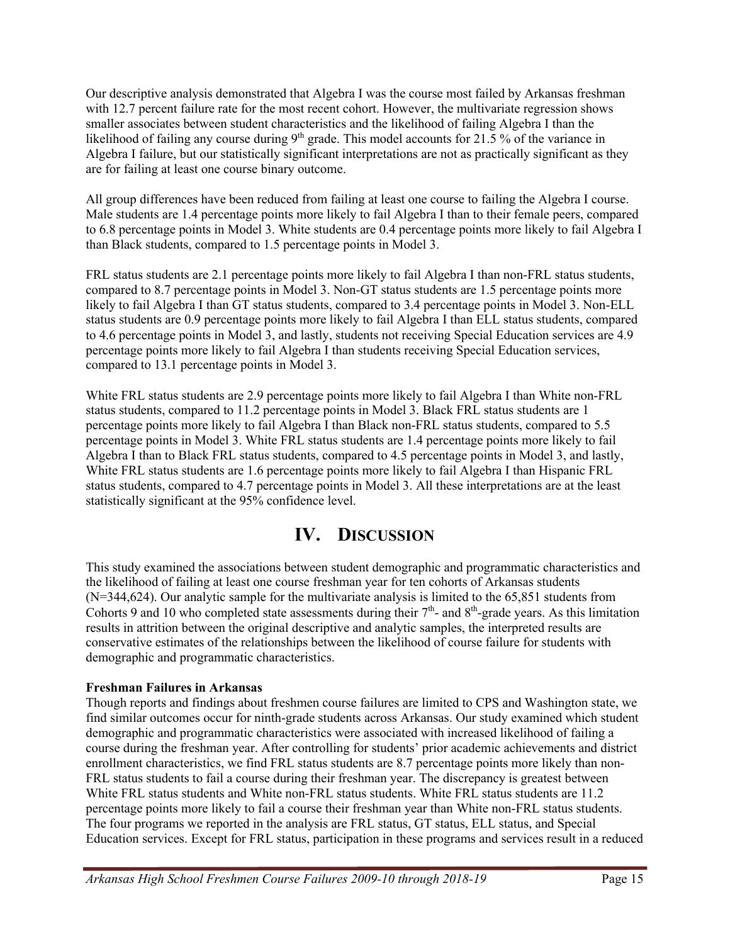Our descriptive analysis demonstrated that Algebra I was the course most failed by Arkansas freshman with 12.7 percent failure rate for the most recent cohort. However, the multivariate regression shows smaller associates between student characteristics and the likelihood of failing Algebra I than the likelihood of failing any course during  $9<sup>th</sup>$  grade. This model accounts for 21.5 % of the variance in Algebra I failure, but our statistically significant interpretations are not as practically significant as they are for failing at least one course binary outcome.

All group differences have been reduced from failing at least one course to failing the Algebra I course. Male students are 1.4 percentage points more likely to fail Algebra I than to their female peers, compared to 6.8 percentage points in Model 3. White students are 0.4 percentage points more likely to fail Algebra I than Black students, compared to 1.5 percentage points in Model 3.

FRL status students are 2.1 percentage points more likely to fail Algebra I than non-FRL status students, compared to 8.7 percentage points in Model 3. Non-GT status students are 1.5 percentage points more likely to fail Algebra I than GT status students, compared to 3.4 percentage points in Model 3. Non-ELL status students are 0.9 percentage points more likely to fail Algebra I than ELL status students, compared to 4.6 percentage points in Model 3, and lastly, students not receiving Special Education services are 4.9 percentage points more likely to fail Algebra I than students receiving Special Education services, compared to 13.1 percentage points in Model 3.

White FRL status students are 2.9 percentage points more likely to fail Algebra I than White non-FRL status students, compared to 11.2 percentage points in Model 3. Black FRL status students are 1 percentage points more likely to fail Algebra I than Black non-FRL status students, compared to 5.5 percentage points in Model 3. White FRL status students are 1.4 percentage points more likely to fail Algebra I than to Black FRL status students, compared to 4.5 percentage points in Model 3, and lastly, White FRL status students are 1.6 percentage points more likely to fail Algebra I than Hispanic FRL status students, compared to 4.7 percentage points in Model 3. All these interpretations are at the least statistically significant at the 95% confidence level.

## **IV. DISCUSSION**

This study examined the associations between student demographic and programmatic characteristics and the likelihood of failing at least one course freshman year for ten cohorts of Arkansas students (N=344,624). Our analytic sample for the multivariate analysis is limited to the 65,851 students from Cohorts 9 and 10 who completed state assessments during their  $7<sup>th</sup>$ - and  $8<sup>th</sup>$ -grade years. As this limitation results in attrition between the original descriptive and analytic samples, the interpreted results are conservative estimates of the relationships between the likelihood of course failure for students with demographic and programmatic characteristics.

#### **Freshman Failures in Arkansas**

Though reports and findings about freshmen course failures are limited to CPS and Washington state, we find similar outcomes occur for ninth-grade students across Arkansas. Our study examined which student demographic and programmatic characteristics were associated with increased likelihood of failing a course during the freshman year. After controlling for students' prior academic achievements and district enrollment characteristics, we find FRL status students are 8.7 percentage points more likely than non-FRL status students to fail a course during their freshman year. The discrepancy is greatest between White FRL status students and White non-FRL status students. White FRL status students are 11.2 percentage points more likely to fail a course their freshman year than White non-FRL status students. The four programs we reported in the analysis are FRL status, GT status, ELL status, and Special Education services. Except for FRL status, participation in these programs and services result in a reduced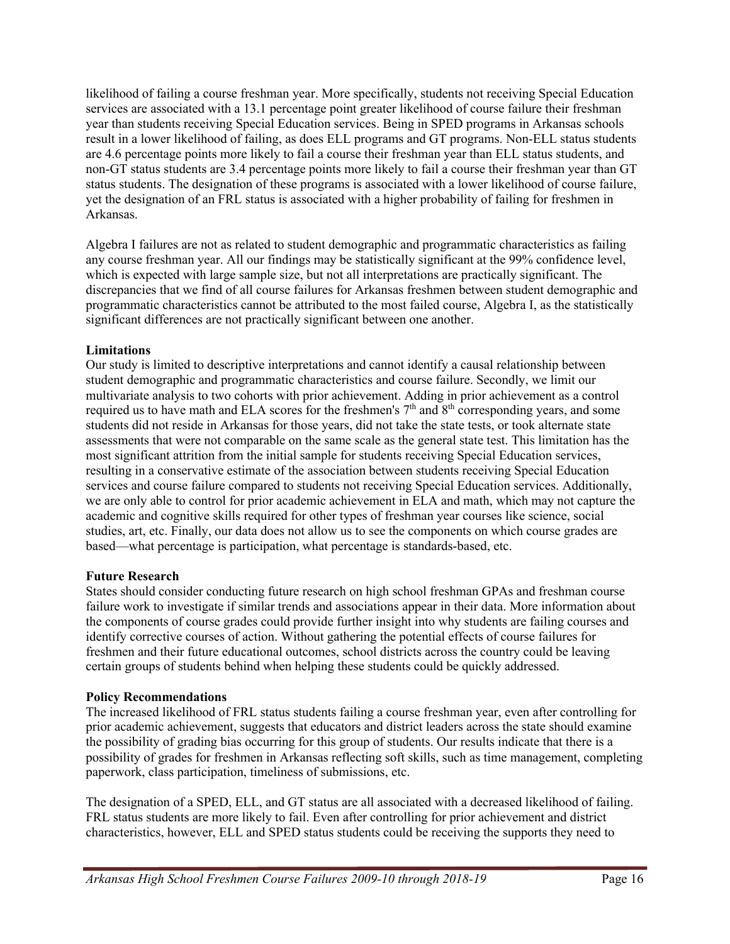likelihood of failing a course freshman year. More specifically, students not receiving Special Education services are associated with a 13.1 percentage point greater likelihood of course failure their freshman year than students receiving Special Education services. Being in SPED programs in Arkansas schools result in a lower likelihood of failing, as does ELL programs and GT programs. Non-ELL status students are 4.6 percentage points more likely to fail a course their freshman year than ELL status students, and non-GT status students are 3.4 percentage points more likely to fail a course their freshman year than GT status students. The designation of these programs is associated with a lower likelihood of course failure, yet the designation of an FRL status is associated with a higher probability of failing for freshmen in Arkansas.

Algebra I failures are not as related to student demographic and programmatic characteristics as failing any course freshman year. All our findings may be statistically significant at the 99% confidence level, which is expected with large sample size, but not all interpretations are practically significant. The discrepancies that we find of all course failures for Arkansas freshmen between student demographic and programmatic characteristics cannot be attributed to the most failed course, Algebra I, as the statistically significant differences are not practically significant between one another.

#### **Limitations**

Our study is limited to descriptive interpretations and cannot identify a causal relationship between student demographic and programmatic characteristics and course failure. Secondly, we limit our multivariate analysis to two cohorts with prior achievement. Adding in prior achievement as a control required us to have math and ELA scores for the freshmen's  $7<sup>th</sup>$  and  $8<sup>th</sup>$  corresponding years, and some students did not reside in Arkansas for those years, did not take the state tests, or took alternate state assessments that were not comparable on the same scale as the general state test. This limitation has the most significant attrition from the initial sample for students receiving Special Education services, resulting in a conservative estimate of the association between students receiving Special Education services and course failure compared to students not receiving Special Education services. Additionally, we are only able to control for prior academic achievement in ELA and math, which may not capture the academic and cognitive skills required for other types of freshman year courses like science, social studies, art, etc. Finally, our data does not allow us to see the components on which course grades are based—what percentage is participation, what percentage is standards-based, etc.

#### **Future Research**

States should consider conducting future research on high school freshman GPAs and freshman course failure work to investigate if similar trends and associations appear in their data. More information about the components of course grades could provide further insight into why students are failing courses and identify corrective courses of action. Without gathering the potential effects of course failures for freshmen and their future educational outcomes, school districts across the country could be leaving certain groups of students behind when helping these students could be quickly addressed.

#### **Policy Recommendations**

The increased likelihood of FRL status students failing a course freshman year, even after controlling for prior academic achievement, suggests that educators and district leaders across the state should examine the possibility of grading bias occurring for this group of students. Our results indicate that there is a possibility of grades for freshmen in Arkansas reflecting soft skills, such as time management, completing paperwork, class participation, timeliness of submissions, etc.

The designation of a SPED, ELL, and GT status are all associated with a decreased likelihood of failing. FRL status students are more likely to fail. Even after controlling for prior achievement and district characteristics, however, ELL and SPED status students could be receiving the supports they need to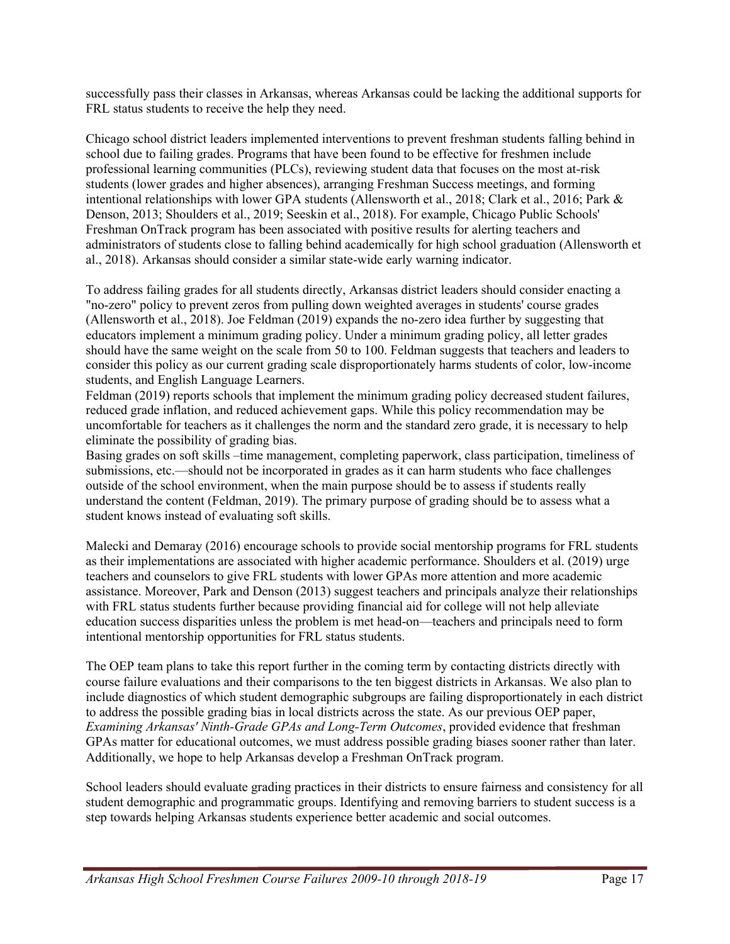successfully pass their classes in Arkansas, whereas Arkansas could be lacking the additional supports for FRL status students to receive the help they need.

Chicago school district leaders implemented interventions to prevent freshman students falling behind in school due to failing grades. Programs that have been found to be effective for freshmen include professional learning communities (PLCs), reviewing student data that focuses on the most at-risk students (lower grades and higher absences), arranging Freshman Success meetings, and forming intentional relationships with lower GPA students (Allensworth et al., 2018; Clark et al., 2016; Park & Denson, 2013; Shoulders et al., 2019; Seeskin et al., 2018). For example, Chicago Public Schools' Freshman OnTrack program has been associated with positive results for alerting teachers and administrators of students close to falling behind academically for high school graduation (Allensworth et al., 2018). Arkansas should consider a similar state-wide early warning indicator.

To address failing grades for all students directly, Arkansas district leaders should consider enacting a "no-zero" policy to prevent zeros from pulling down weighted averages in students' course grades (Allensworth et al., 2018). Joe Feldman (2019) expands the no-zero idea further by suggesting that educators implement a minimum grading policy. Under a minimum grading policy, all letter grades should have the same weight on the scale from 50 to 100. Feldman suggests that teachers and leaders to consider this policy as our current grading scale disproportionately harms students of color, low-income students, and English Language Learners.

Feldman (2019) reports schools that implement the minimum grading policy decreased student failures, reduced grade inflation, and reduced achievement gaps. While this policy recommendation may be uncomfortable for teachers as it challenges the norm and the standard zero grade, it is necessary to help eliminate the possibility of grading bias.

Basing grades on soft skills –time management, completing paperwork, class participation, timeliness of submissions, etc.—should not be incorporated in grades as it can harm students who face challenges outside of the school environment, when the main purpose should be to assess if students really understand the content (Feldman, 2019). The primary purpose of grading should be to assess what a student knows instead of evaluating soft skills.

Malecki and Demaray (2016) encourage schools to provide social mentorship programs for FRL students as their implementations are associated with higher academic performance. Shoulders et al. (2019) urge teachers and counselors to give FRL students with lower GPAs more attention and more academic assistance. Moreover, Park and Denson (2013) suggest teachers and principals analyze their relationships with FRL status students further because providing financial aid for college will not help alleviate education success disparities unless the problem is met head-on—teachers and principals need to form intentional mentorship opportunities for FRL status students.

The OEP team plans to take this report further in the coming term by contacting districts directly with course failure evaluations and their comparisons to the ten biggest districts in Arkansas. We also plan to include diagnostics of which student demographic subgroups are failing disproportionately in each district to address the possible grading bias in local districts across the state. As our previous OEP paper, *Examining Arkansas' Ninth-Grade GPAs and Long-Term Outcomes*, provided evidence that freshman GPAs matter for educational outcomes, we must address possible grading biases sooner rather than later. Additionally, we hope to help Arkansas develop a Freshman OnTrack program.

School leaders should evaluate grading practices in their districts to ensure fairness and consistency for all student demographic and programmatic groups. Identifying and removing barriers to student success is a step towards helping Arkansas students experience better academic and social outcomes.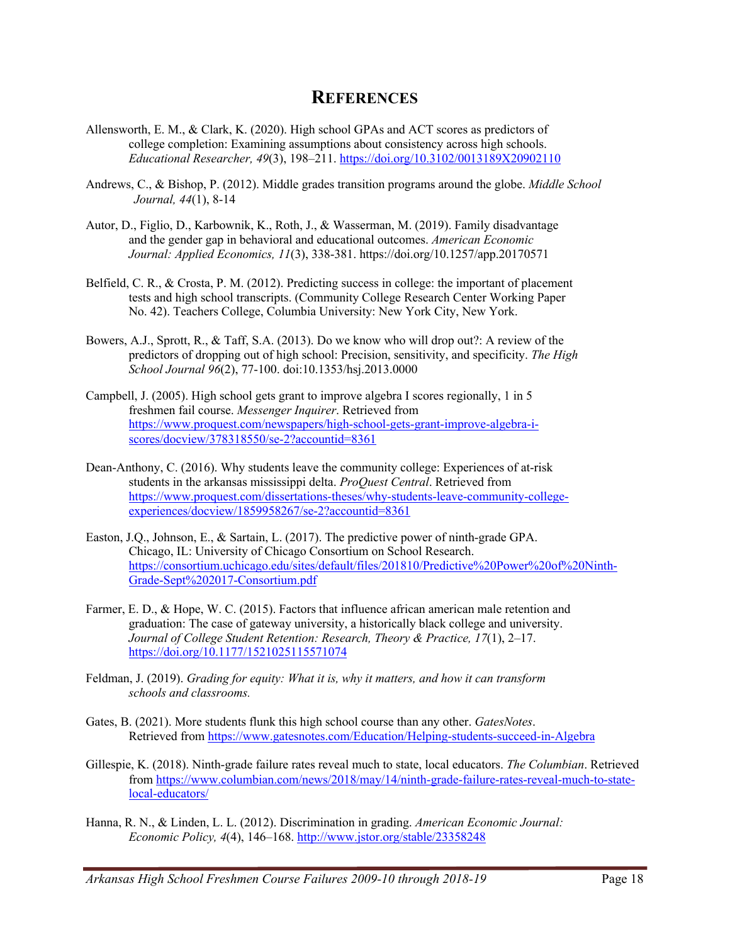#### **REFERENCES**

- Allensworth, E. M., & Clark, K. (2020). High school GPAs and ACT scores as predictors of college completion: Examining assumptions about consistency across high schools. *Educational Researcher, 49*(3), 198–211. https://doi.org/10.3102/0013189X20902110
- Andrews, C., & Bishop, P. (2012). Middle grades transition programs around the globe. *Middle School Journal, 44*(1), 8-14
- Autor, D., Figlio, D., Karbownik, K., Roth, J., & Wasserman, M. (2019). Family disadvantage and the gender gap in behavioral and educational outcomes. *American Economic Journal: Applied Economics, 11*(3), 338-381. https://doi.org/10.1257/app.20170571
- Belfield, C. R., & Crosta, P. M. (2012). Predicting success in college: the important of placement tests and high school transcripts. (Community College Research Center Working Paper No. 42). Teachers College, Columbia University: New York City, New York.
- Bowers, A.J., Sprott, R., & Taff, S.A. (2013). Do we know who will drop out?: A review of the predictors of dropping out of high school: Precision, sensitivity, and specificity. *The High School Journal 96*(2), 77-100. doi:10.1353/hsj.2013.0000
- Campbell, J. (2005). High school gets grant to improve algebra I scores regionally, 1 in 5 freshmen fail course. *Messenger Inquirer*. Retrieved from https://www.proquest.com/newspapers/high-school-gets-grant-improve-algebra-iscores/docview/378318550/se-2?accountid=8361
- Dean-Anthony, C. (2016). Why students leave the community college: Experiences of at-risk students in the arkansas mississippi delta. *ProQuest Central*. Retrieved from https://www.proquest.com/dissertations-theses/why-students-leave-community-collegeexperiences/docview/1859958267/se-2?accountid=8361
- Easton, J.Q., Johnson, E., & Sartain, L. (2017). The predictive power of ninth-grade GPA. Chicago, IL: University of Chicago Consortium on School Research. https://consortium.uchicago.edu/sites/default/files/201810/Predictive%20Power%20of%20Ninth-Grade-Sept%202017-Consortium.pdf
- Farmer, E. D., & Hope, W. C. (2015). Factors that influence african american male retention and graduation: The case of gateway university, a historically black college and university. *Journal of College Student Retention: Research, Theory & Practice, 17*(1), 2–17. https://doi.org/10.1177/1521025115571074
- Feldman, J. (2019). *Grading for equity: What it is, why it matters, and how it can transform schools and classrooms.*
- Gates, B. (2021). More students flunk this high school course than any other. *GatesNotes*. Retrieved from https://www.gatesnotes.com/Education/Helping-students-succeed-in-Algebra
- Gillespie, K. (2018). Ninth-grade failure rates reveal much to state, local educators. *The Columbian*. Retrieved from https://www.columbian.com/news/2018/may/14/ninth-grade-failure-rates-reveal-much-to-statelocal-educators/
- Hanna, R. N., & Linden, L. L. (2012). Discrimination in grading. *American Economic Journal: Economic Policy, 4*(4), 146–168. http://www.jstor.org/stable/23358248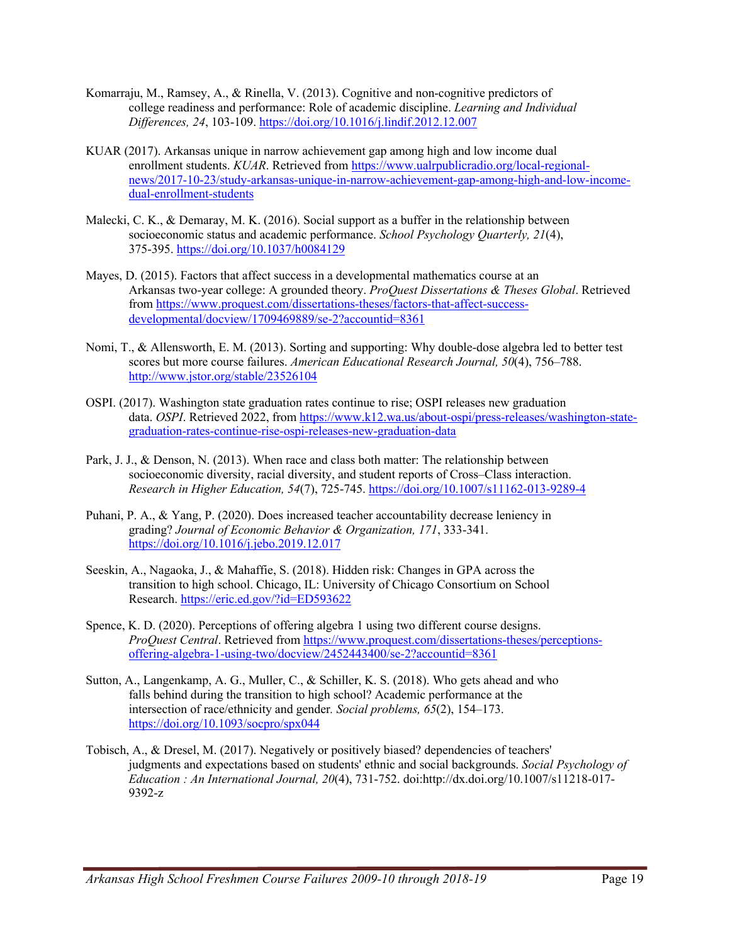- Komarraju, M., Ramsey, A., & Rinella, V. (2013). Cognitive and non-cognitive predictors of college readiness and performance: Role of academic discipline. *Learning and Individual Differences, 24*, 103-109. https://doi.org/10.1016/j.lindif.2012.12.007
- KUAR (2017). Arkansas unique in narrow achievement gap among high and low income dual enrollment students. *KUAR*. Retrieved from https://www.ualrpublicradio.org/local-regionalnews/2017-10-23/study-arkansas-unique-in-narrow-achievement-gap-among-high-and-low-incomedual-enrollment-students
- Malecki, C. K., & Demaray, M. K. (2016). Social support as a buffer in the relationship between socioeconomic status and academic performance. *School Psychology Quarterly, 21*(4), 375-395. https://doi.org/10.1037/h0084129
- Mayes, D. (2015). Factors that affect success in a developmental mathematics course at an Arkansas two-year college: A grounded theory. *ProQuest Dissertations & Theses Global*. Retrieved from https://www.proquest.com/dissertations-theses/factors-that-affect-successdevelopmental/docview/1709469889/se-2?accountid=8361
- Nomi, T., & Allensworth, E. M. (2013). Sorting and supporting: Why double-dose algebra led to better test scores but more course failures. *American Educational Research Journal, 50*(4), 756–788. http://www.jstor.org/stable/23526104
- OSPI. (2017). Washington state graduation rates continue to rise; OSPI releases new graduation data. *OSPI*. Retrieved 2022, from https://www.k12.wa.us/about-ospi/press-releases/washington-stategraduation-rates-continue-rise-ospi-releases-new-graduation-data
- Park, J. J., & Denson, N. (2013). When race and class both matter: The relationship between socioeconomic diversity, racial diversity, and student reports of Cross–Class interaction. *Research in Higher Education, 54*(7), 725-745. https://doi.org/10.1007/s11162-013-9289-4
- Puhani, P. A., & Yang, P. (2020). Does increased teacher accountability decrease leniency in grading? *Journal of Economic Behavior & Organization, 171*, 333-341. https://doi.org/10.1016/j.jebo.2019.12.017
- Seeskin, A., Nagaoka, J., & Mahaffie, S. (2018). Hidden risk: Changes in GPA across the transition to high school. Chicago, IL: University of Chicago Consortium on School Research. https://eric.ed.gov/?id=ED593622
- Spence, K. D. (2020). Perceptions of offering algebra 1 using two different course designs. *ProQuest Central*. Retrieved from https://www.proquest.com/dissertations-theses/perceptionsoffering-algebra-1-using-two/docview/2452443400/se-2?accountid=8361
- Sutton, A., Langenkamp, A. G., Muller, C., & Schiller, K. S. (2018). Who gets ahead and who falls behind during the transition to high school? Academic performance at the intersection of race/ethnicity and gender*. Social problems, 65*(2), 154–173. https://doi.org/10.1093/socpro/spx044
- Tobisch, A., & Dresel, M. (2017). Negatively or positively biased? dependencies of teachers' judgments and expectations based on students' ethnic and social backgrounds. *Social Psychology of Education : An International Journal, 20*(4), 731-752. doi:http://dx.doi.org/10.1007/s11218-017- 9392-z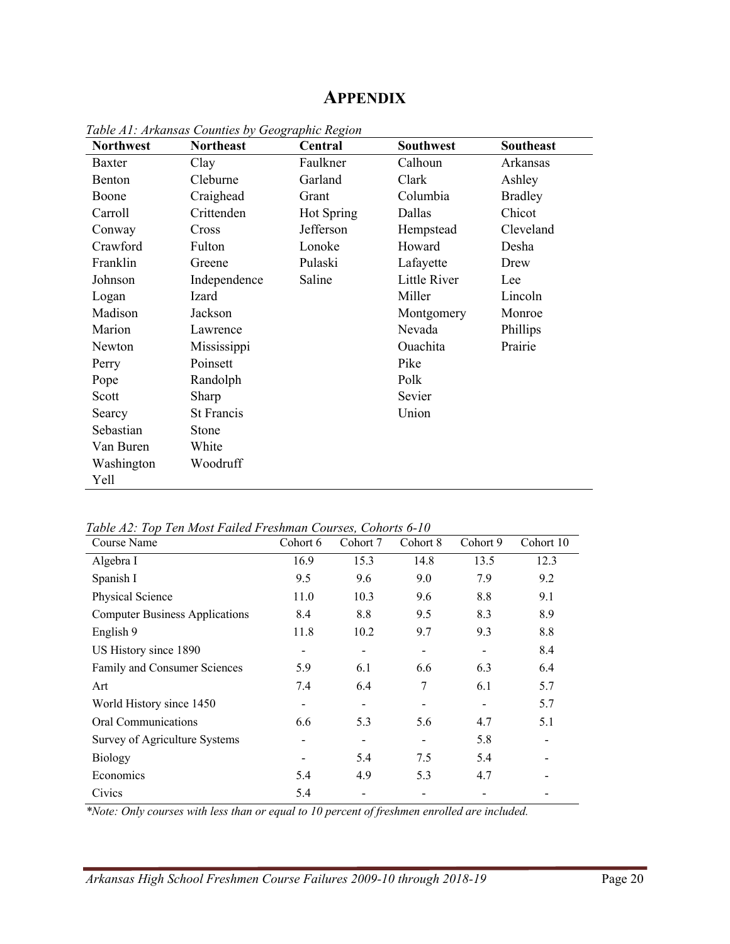### **APPENDIX**

| <b>Northwest</b> | <b>Northeast</b>  | Central    | <b>Southwest</b>    | <b>Southeast</b> |
|------------------|-------------------|------------|---------------------|------------------|
| Baxter           | Clay              | Faulkner   | Calhoun             | Arkansas         |
| Benton           | Cleburne          | Garland    | Clark               | Ashley           |
| Boone            | Craighead         | Grant      | Columbia            | <b>Bradley</b>   |
| Carroll          | Crittenden        | Hot Spring | Dallas              | Chicot           |
| Conway           | Cross             | Jefferson  | Hempstead           | Cleveland        |
| Crawford         | Fulton            | Lonoke     | Howard              | Desha            |
| Franklin         | Greene            | Pulaski    | Lafayette           | Drew             |
| Johnson          | Independence      | Saline     | <b>Little River</b> | Lee              |
| Logan            | Izard             |            | Miller              | Lincoln          |
| Madison          | Jackson           |            | Montgomery          | Monroe           |
| Marion           | Lawrence          |            | Nevada              | Phillips         |
| Newton           | Mississippi       |            | Ouachita            | Prairie          |
| Perry            | Poinsett          |            | Pike                |                  |
| Pope             | Randolph          |            | Polk                |                  |
| Scott            | Sharp             |            | Sevier              |                  |
| Searcy           | <b>St Francis</b> |            | Union               |                  |
| Sebastian        | Stone             |            |                     |                  |
| Van Buren        | White             |            |                     |                  |
| Washington       | Woodruff          |            |                     |                  |
| Yell             |                   |            |                     |                  |

*Table A1: Arkansas Counties by Geographic Region*

*Table A2: Top Ten Most Failed Freshman Courses, Cohorts 6-10*

| Course Name                           | Cohort 6 | Cohort 7 | Cohort 8 | Cohort 9 | Cohort 10 |
|---------------------------------------|----------|----------|----------|----------|-----------|
| Algebra I                             | 16.9     | 15.3     | 14.8     | 13.5     | 12.3      |
| Spanish I                             | 9.5      | 9.6      | 9.0      | 7.9      | 9.2       |
| Physical Science                      | 11.0     | 10.3     | 9.6      | 8.8      | 9.1       |
| <b>Computer Business Applications</b> | 8.4      | 8.8      | 9.5      | 8.3      | 8.9       |
| English 9                             | 11.8     | 10.2     | 9.7      | 9.3      | 8.8       |
| US History since 1890                 |          |          |          |          | 8.4       |
| Family and Consumer Sciences          | 5.9      | 6.1      | 6.6      | 6.3      | 6.4       |
| Art                                   | 7.4      | 6.4      | 7        | 6.1      | 5.7       |
| World History since 1450              |          |          |          |          | 5.7       |
| Oral Communications                   | 6.6      | 5.3      | 5.6      | 4.7      | 5.1       |
| Survey of Agriculture Systems         |          |          |          | 5.8      |           |
| <b>Biology</b>                        |          | 5.4      | 7.5      | 5.4      |           |
| Economics                             | 5.4      | 4.9      | 5.3      | 4.7      |           |
| Civics                                | 5.4      |          |          |          |           |

*\*Note: Only courses with less than or equal to 10 percent of freshmen enrolled are included.*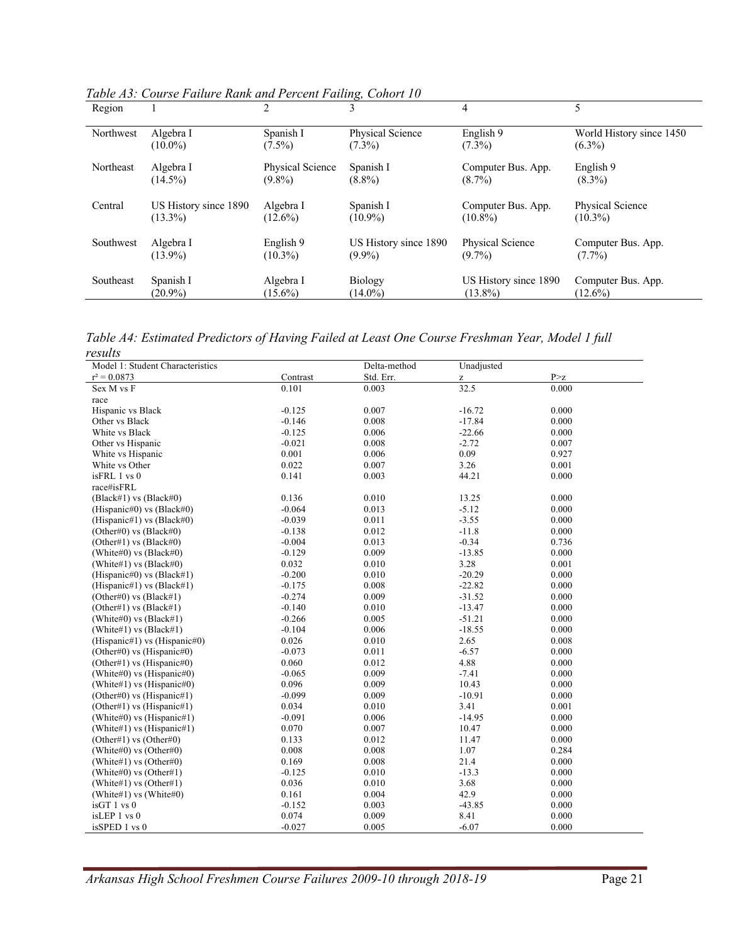| Region    |                       |                  | 3                     | 4                     | 5                        |
|-----------|-----------------------|------------------|-----------------------|-----------------------|--------------------------|
| Northwest | Algebra I             | Spanish I        | Physical Science      | English 9             | World History since 1450 |
|           | $(10.0\%)$            | $(7.5\%)$        | $(7.3\%)$             | $(7.3\%)$             | $(6.3\%)$                |
| Northeast | Algebra I             | Physical Science | Spanish I             | Computer Bus. App.    | English 9                |
|           | $(14.5\%)$            | $(9.8\%)$        | $(8.8\%)$             | $(8.7\%)$             | $(8.3\%)$                |
| Central   | US History since 1890 | Algebra I        | Spanish I             | Computer Bus. App.    | Physical Science         |
|           | $(13.3\%)$            | $(12.6\%)$       | $(10.9\%)$            | $(10.8\%)$            | $(10.3\%)$               |
| Southwest | Algebra I             | English 9        | US History since 1890 | Physical Science      | Computer Bus. App.       |
|           | $(13.9\%)$            | $(10.3\%)$       | $(9.9\%)$             | $(9.7\%)$             | $(7.7\%)$                |
| Southeast | Spanish I             | Algebra I        | <b>Biology</b>        | US History since 1890 | Computer Bus. App.       |
|           | $(20.9\%)$            | $(15.6\%)$       | $(14.0\%)$            | $(13.8\%)$            | $(12.6\%)$               |

*Table A3: Course Failure Rank and Percent Failing, Cohort 10*

*Table A4: Estimated Predictors of Having Failed at Least One Course Freshman Year, Model 1 full results*

| , couito<br>Model 1: Student Characteristics |          | Delta-method | Unadjusted |                        |
|----------------------------------------------|----------|--------------|------------|------------------------|
| $r^2 = 0.0873$                               | Contrast | Std. Err.    | z          | $\mbox{P}{>} \mbox{z}$ |
| Sex M vs F                                   | 0.101    | 0.003        | 32.5       | 0.000                  |
| race                                         |          |              |            |                        |
| Hispanic vs Black                            | $-0.125$ | 0.007        | $-16.72$   | 0.000                  |
| Other vs Black                               | $-0.146$ | 0.008        | $-17.84$   | 0.000                  |
| White vs Black                               | $-0.125$ | 0.006        | $-22.66$   | 0.000                  |
| Other vs Hispanic                            | $-0.021$ | 0.008        | $-2.72$    | 0.007                  |
| White vs Hispanic                            | 0.001    | 0.006        | 0.09       | 0.927                  |
| White vs Other                               | 0.022    | 0.007        | 3.26       | 0.001                  |
| isFRL 1 vs 0                                 | 0.141    | 0.003        | 44.21      | 0.000                  |
| race#isFRL                                   |          |              |            |                        |
| (Black#1) vs (Black#0)                       | 0.136    | 0.010        | 13.25      | 0.000                  |
| (Hispanic#0) vs (Black#0)                    | $-0.064$ | 0.013        | $-5.12$    | 0.000                  |
| (Hispanic#1) vs $(Black#0)$                  | $-0.039$ | 0.011        | $-3.55$    | 0.000                  |
| (Other#0) vs $(Black#0)$                     | $-0.138$ | 0.012        | $-11.8$    | 0.000                  |
| (Other#1) vs $(Black#0)$                     | $-0.004$ | 0.013        | $-0.34$    | 0.736                  |
| (White#0) vs $(Black#0)$                     | $-0.129$ | 0.009        | $-13.85$   | 0.000                  |
| (White#1) vs $(Black#0)$                     | 0.032    | 0.010        | 3.28       | 0.001                  |
| (Hispanic#0) vs (Black#1)                    | $-0.200$ | 0.010        | $-20.29$   | 0.000                  |
| (Hispanic#1) vs (Black#1)                    | $-0.175$ | 0.008        | $-22.82$   | 0.000                  |
| (Other#0) vs $(Black#1)$                     | $-0.274$ | 0.009        | $-31.52$   | 0.000                  |
| (Other#1) vs $(Black#1)$                     | $-0.140$ | 0.010        | $-13.47$   | 0.000                  |
| (White#0) vs $(Black#1)$                     | $-0.266$ | 0.005        | $-51.21$   | 0.000                  |
| (White#1) vs $(Black#1)$                     | $-0.104$ | 0.006        | $-18.55$   | 0.000                  |
| (Hispanic#1) vs (Hispanic#0)                 | 0.026    | 0.010        | 2.65       | 0.008                  |
| (Other#0) vs (Hispanic#0)                    | $-0.073$ | 0.011        | $-6.57$    | 0.000                  |
| (Other#1) vs (Hispanic#0)                    | 0.060    | 0.012        | 4.88       | 0.000                  |
| (White#0) vs $(Hispanic#0)$                  | $-0.065$ | 0.009        | $-7.41$    | 0.000                  |
| (White#1) vs $(Hispanic#0)$                  | 0.096    | 0.009        | 10.43      | 0.000                  |
| (Other#0) vs (Hispanic#1)                    | $-0.099$ | 0.009        | $-10.91$   | 0.000                  |
| (Other#1) vs (Hispanic#1)                    | 0.034    | 0.010        | 3.41       | 0.001                  |
| (White#0) vs (Hispanic#1)                    | $-0.091$ | 0.006        | $-14.95$   | 0.000                  |
| (White#1) vs (Hispanic#1)                    | 0.070    | 0.007        | 10.47      | 0.000                  |
| (Other#1) vs (Other#0)                       | 0.133    | 0.012        | 11.47      | 0.000                  |
| (White#0) vs (Other#0)                       | 0.008    | 0.008        | 1.07       | 0.284                  |
| (White#1) vs (Other#0)                       | 0.169    | 0.008        | 21.4       | 0.000                  |
| (White#0) vs (Other#1)                       | $-0.125$ | 0.010        | $-13.3$    | 0.000                  |
| (White#1) vs (Other#1)                       | 0.036    | 0.010        | 3.68       | 0.000                  |
| (White#1) vs (White#0)                       | 0.161    | 0.004        | 42.9       | 0.000                  |
| isGT 1 vs 0                                  | $-0.152$ | 0.003        | $-43.85$   | 0.000                  |
| isLEP 1 vs 0                                 | 0.074    | 0.009        | 8.41       | 0.000                  |
| isSPED 1 vs 0                                | $-0.027$ | 0.005        | $-6.07$    | 0.000                  |
|                                              |          |              |            |                        |

*Arkansas High School Freshmen Course Failures 2009-10 through 2018-19* Page 21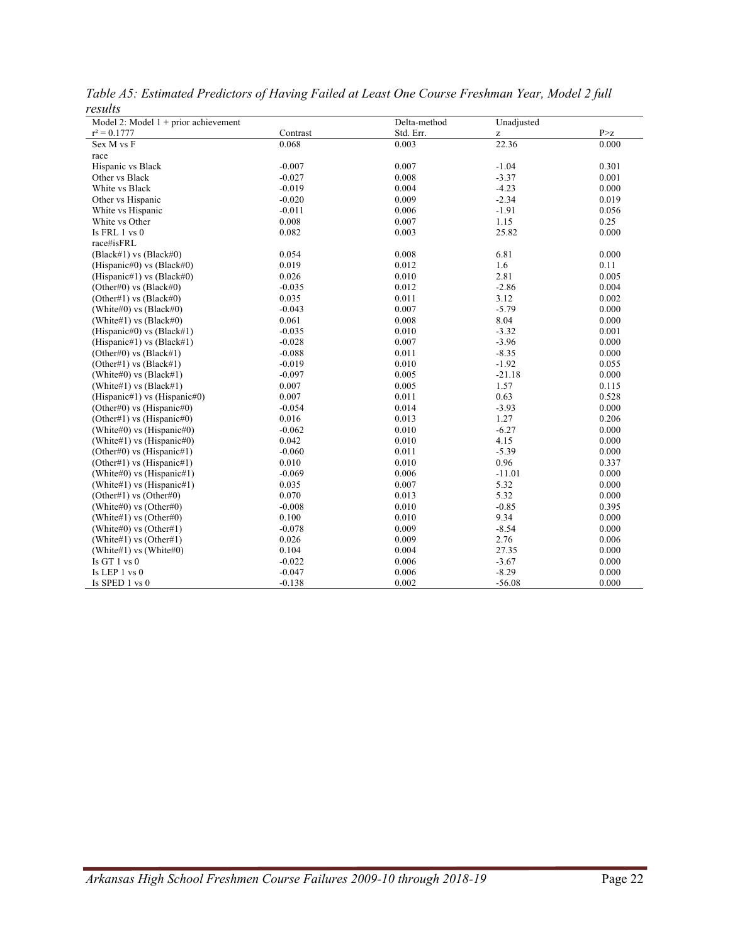| r Coulto<br>Model 2: Model $1 +$ prior achievement |          | Delta-method | Unadjusted |       |
|----------------------------------------------------|----------|--------------|------------|-------|
| $r^2 = 0.1777$                                     | Contrast | Std. Err.    | Z          | P > z |
| Sex M vs F                                         | 0.068    | 0.003        | 22.36      | 0.000 |
| race                                               |          |              |            |       |
| Hispanic vs Black                                  | $-0.007$ | 0.007        | $-1.04$    | 0.301 |
| Other vs Black                                     | $-0.027$ | 0.008        | $-3.37$    | 0.001 |
| White vs Black                                     | $-0.019$ | 0.004        | $-4.23$    | 0.000 |
| Other vs Hispanic                                  | $-0.020$ | 0.009        | $-2.34$    | 0.019 |
| White vs Hispanic                                  | $-0.011$ | 0.006        | $-1.91$    | 0.056 |
| White vs Other                                     | 0.008    | 0.007        | 1.15       | 0.25  |
| Is FRL $1$ vs $0$                                  | 0.082    | 0.003        | 25.82      | 0.000 |
| race#isFRL                                         |          |              |            |       |
| (Black#1) vs (Black#0)                             | 0.054    | 0.008        | 6.81       | 0.000 |
| (Hispanic#0) vs (Black#0)                          | 0.019    | 0.012        | 1.6        | 0.11  |
| (Hispanic#1) vs $(Black#0)$                        | 0.026    | 0.010        | 2.81       | 0.005 |
| (Other#0) vs $(Black#0)$                           | $-0.035$ | 0.012        | $-2.86$    | 0.004 |
| (Other#1) vs $(Black#0)$                           | 0.035    | 0.011        | 3.12       | 0.002 |
| (White#0) vs $(Black#0)$                           | $-0.043$ | 0.007        | $-5.79$    | 0.000 |
| (White#1) vs $(Black#0)$                           | 0.061    | 0.008        | 8.04       | 0.000 |
| (Hispanic#0) vs $(Black#1)$                        | $-0.035$ | 0.010        | $-3.32$    | 0.001 |
| (Hispanic#1) vs (Black#1)                          | $-0.028$ | 0.007        | $-3.96$    | 0.000 |
| (Other#0) vs $(Black#1)$                           | $-0.088$ | 0.011        | $-8.35$    | 0.000 |
| (Other#1) vs $(Black#1)$                           | $-0.019$ | 0.010        | $-1.92$    | 0.055 |
| (White#0) vs $(Black#1)$                           | $-0.097$ | 0.005        | $-21.18$   | 0.000 |
| (White#1) vs $(Black#1)$                           | 0.007    | 0.005        | 1.57       | 0.115 |
| (Hispanic#1) vs (Hispanic#0)                       | 0.007    | 0.011        | 0.63       | 0.528 |
| (Other#0) vs $(Hispanic\#0)$                       | $-0.054$ | 0.014        | $-3.93$    | 0.000 |
| (Other#1) vs (Hispanic#0)                          | 0.016    | 0.013        | 1.27       | 0.206 |
| (White#0) vs (Hispanic#0)                          | $-0.062$ | 0.010        | $-6.27$    | 0.000 |
| (White#1) vs (Hispanic#0)                          | 0.042    | 0.010        | 4.15       | 0.000 |
| (Other#0) vs (Hispanic#1)                          | $-0.060$ | 0.011        | $-5.39$    | 0.000 |
| (Other#1) vs (Hispanic#1)                          | 0.010    | 0.010        | 0.96       | 0.337 |
| (White#0) vs (Hispanic#1)                          | $-0.069$ | 0.006        | $-11.01$   | 0.000 |
| (White#1) vs (Hispanic#1)                          | 0.035    | 0.007        | 5.32       | 0.000 |
| (Other#1) vs (Other#0)                             | 0.070    | 0.013        | 5.32       | 0.000 |
| (White#0) vs (Other#0)                             | $-0.008$ | 0.010        | $-0.85$    | 0.395 |
| (White#1) vs (Other#0)                             | 0.100    | 0.010        | 9.34       | 0.000 |
| (White#0) vs (Other#1)                             | $-0.078$ | 0.009        | $-8.54$    | 0.000 |
| (White#1) vs (Other#1)                             | 0.026    | 0.009        | 2.76       | 0.006 |
| (White#1) vs (White#0)                             | 0.104    | 0.004        | 27.35      | 0.000 |
| Is GT $1$ vs $0$                                   | $-0.022$ | 0.006        | $-3.67$    | 0.000 |
| Is LEP 1 vs 0                                      | $-0.047$ | 0.006        | $-8.29$    | 0.000 |
| Is SPED 1 vs 0                                     | $-0.138$ | 0.002        | $-56.08$   | 0.000 |

*Table A5: Estimated Predictors of Having Failed at Least One Course Freshman Year, Model 2 full results*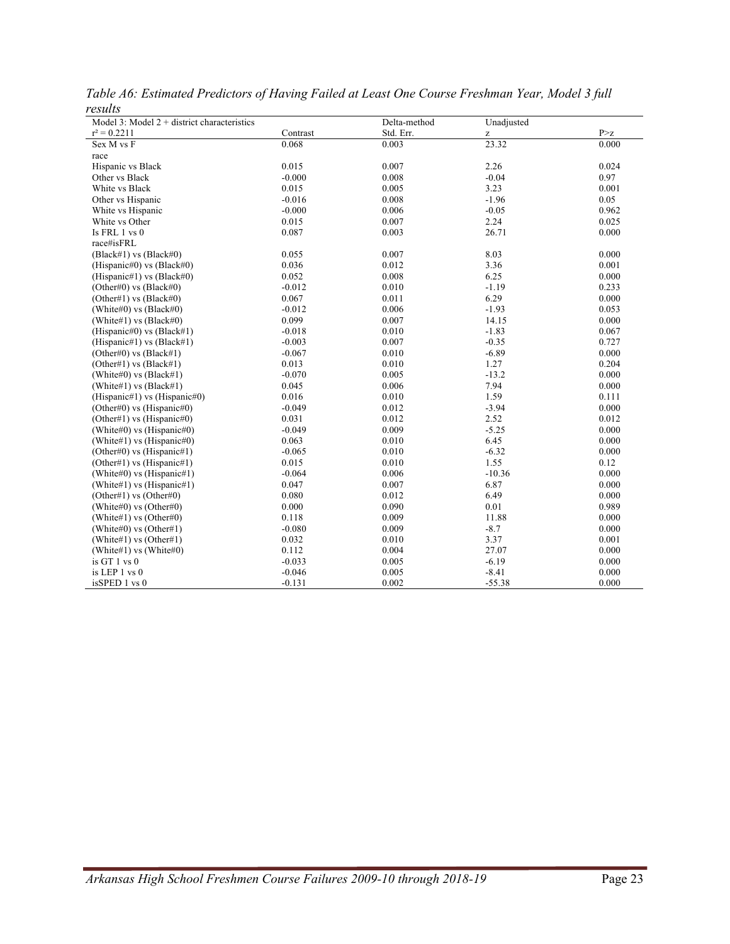| 1 esuits<br>Model 3: Model $2 +$ district characteristics |          | Delta-method | Unadjusted |       |
|-----------------------------------------------------------|----------|--------------|------------|-------|
| $r^2 = 0.2211$                                            | Contrast | Std. Err.    | z          | P > Z |
| Sex M vs F                                                | 0.068    | 0.003        | 23.32      | 0.000 |
| race                                                      |          |              |            |       |
| Hispanic vs Black                                         | 0.015    | 0.007        | 2.26       | 0.024 |
| Other vs Black                                            | $-0.000$ | 0.008        | $-0.04$    | 0.97  |
| White vs Black                                            | 0.015    | 0.005        | 3.23       | 0.001 |
| Other vs Hispanic                                         | $-0.016$ | 0.008        | $-1.96$    | 0.05  |
| White vs Hispanic                                         | $-0.000$ | 0.006        | $-0.05$    | 0.962 |
| White vs Other                                            | 0.015    | 0.007        | 2.24       | 0.025 |
| Is FRL 1 vs 0                                             | 0.087    | 0.003        | 26.71      | 0.000 |
| race#isFRL                                                |          |              |            |       |
| (Black#1) vs (Black#0)                                    | 0.055    | 0.007        | 8.03       | 0.000 |
| (Hispanic#0) vs $(Black#0)$                               | 0.036    | 0.012        | 3.36       | 0.001 |
| (Hispanic#1) vs $(Black#0)$                               | 0.052    | 0.008        | 6.25       | 0.000 |
| (Other#0) vs $(Black#0)$                                  | $-0.012$ | 0.010        | $-1.19$    | 0.233 |
| (Other#1) vs $(Black#0)$                                  | 0.067    | 0.011        | 6.29       | 0.000 |
| (White#0) vs $(Black#0)$                                  | $-0.012$ | 0.006        | $-1.93$    | 0.053 |
| (White#1) vs $(Black#0)$                                  | 0.099    | 0.007        | 14.15      | 0.000 |
| (Hispanic#0) vs (Black#1)                                 | $-0.018$ | 0.010        | $-1.83$    | 0.067 |
| (Hispanic#1) vs $(Black#1)$                               | $-0.003$ | 0.007        | $-0.35$    | 0.727 |
| (Other#0) vs $(Black#1)$                                  | $-0.067$ | 0.010        | $-6.89$    | 0.000 |
| (Other#1) vs $(Black#1)$                                  | 0.013    | 0.010        | 1.27       | 0.204 |
| (White#0) vs $(Black#1)$                                  | $-0.070$ | 0.005        | $-13.2$    | 0.000 |
| (White#1) vs $(Black#1)$                                  | 0.045    | 0.006        | 7.94       | 0.000 |
| (Hispanic#1) vs (Hispanic#0)                              | 0.016    | 0.010        | 1.59       | 0.111 |
| (Other#0) vs (Hispanic#0)                                 | $-0.049$ | 0.012        | $-3.94$    | 0.000 |
| (Other#1) vs (Hispanic#0)                                 | 0.031    | 0.012        | 2.52       | 0.012 |
| (White#0) vs $(Hispanic#0)$                               | $-0.049$ | 0.009        | $-5.25$    | 0.000 |
| (White#1) vs $(Hispanic#0)$                               | 0.063    | 0.010        | 6.45       | 0.000 |
| (Other#0) vs (Hispanic#1)                                 | $-0.065$ | 0.010        | $-6.32$    | 0.000 |
| (Other#1) vs (Hispanic#1)                                 | 0.015    | 0.010        | 1.55       | 0.12  |
| (White#0) vs (Hispanic#1)                                 | $-0.064$ | 0.006        | $-10.36$   | 0.000 |
| (White#1) vs (Hispanic#1)                                 | 0.047    | 0.007        | 6.87       | 0.000 |
| (Other#1) vs (Other#0)                                    | 0.080    | 0.012        | 6.49       | 0.000 |
| (White#0) vs (Other#0)                                    | 0.000    | 0.090        | 0.01       | 0.989 |
| (White#1) vs (Other#0)                                    | 0.118    | 0.009        | 11.88      | 0.000 |
| (White#0) vs (Other#1)                                    | $-0.080$ | 0.009        | $-8.7$     | 0.000 |
| (White#1) vs (Other#1)                                    | 0.032    | 0.010        | 3.37       | 0.001 |
| (White#1) vs (White#0)                                    | 0.112    | 0.004        | 27.07      | 0.000 |
| is GT 1 vs 0                                              | $-0.033$ | 0.005        | $-6.19$    | 0.000 |
| is LEP 1 vs 0                                             | $-0.046$ | 0.005        | $-8.41$    | 0.000 |
| isSPED 1 vs 0                                             | $-0.131$ | 0.002        | $-55.38$   | 0.000 |

*Table A6: Estimated Predictors of Having Failed at Least One Course Freshman Year, Model 3 full results*